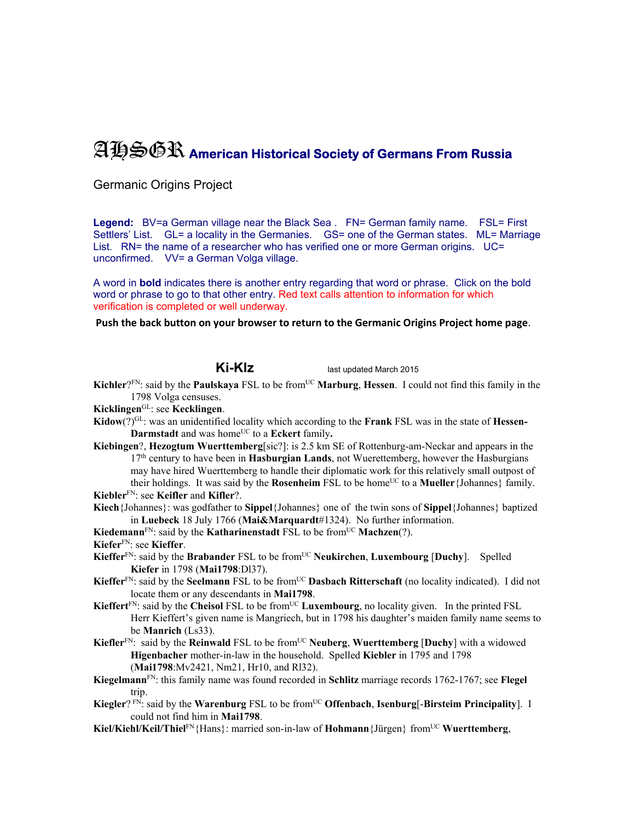## AHSGR **American Historical Society of Germans From Russia**

Germanic Origins Project

Legend: BV=a German village near the Black Sea . FN= German family name. FSL= First Settlers' List. GL= a locality in the Germanies. GS= one of the German states. ML= Marriage List. RN= the name of a researcher who has verified one or more German origins. UC= unconfirmed. VV= a German Volga village.

A word in **bold** indicates there is another entry regarding that word or phrase. Click on the bold word or phrase to go to that other entry. Red text calls attention to information for which verification is completed or well underway.

## **Push the back button on your browser to return to the Germanic Origins Project home page**.

**Ki-Klz** last updated March 2015

- **Kichler**?<sup>FN</sup>: said by the **Paulskaya** FSL to be from<sup>UC</sup> **Marburg**, **Hessen**. I could not find this family in the 1798 Volga censuses.
- **Kicklingen**GL: see **Kecklingen**.
- **Kidow**(?)GL: was an unidentified locality which according to the **Frank** FSL was in the state of **Hessen-Darmstadt** and was home<sup>UC</sup> to a **Eckert** family.
- **Kiebingen**?, **Hezogtum Wuerttemberg**[sic?]: is 2.5 km SE of Rottenburg-am-Neckar and appears in the 17th century to have been in **Hasburgian Lands**, not Wuerettemberg, however the Hasburgians may have hired Wuerttemberg to handle their diplomatic work for this relatively small outpost of their holdings. It was said by the **Rosenheim** FSL to be home<sup>UC</sup> to a **Mueller** {Johannes} family. **Kiebler**FN: see **Keifler** and **Kifler**?.
- **Kiech**{Johannes}: was godfather to **Sippel**{Johannes} one of the twin sons of **Sippel**{Johannes} baptized in **Luebeck** 18 July 1766 (**Mai&Marquardt**#1324). No further information.

**Kiedemann**<sup>FN</sup>: said by the **Katharinenstadt** FSL to be from<sup>UC</sup> **Machzen**(?).

**Kiefer**FN: see **Kieffer**.

- **Kieffer**<sup>FN</sup>: said by the **Brabander** FSL to be from<sup>UC</sup> Neukirchen, Luxembourg [Duchy]. Spelled **Kiefer** in 1798 (**Mai1798**:Dl37).
- Kieffer<sup>FN</sup>: said by the **Seelmann** FSL to be from<sup>UC</sup> **Dasbach Ritterschaft** (no locality indicated). I did not locate them or any descendants in **Mai1798**.
- Kieffert<sup>FN</sup>: said by the Cheisol FSL to be from<sup>UC</sup> Luxembourg, no locality given. In the printed FSL Herr Kieffert's given name is Mangriech, but in 1798 his daughter's maiden family name seems to be **Manrich** (Ls33).
- **Kiefler**FN: said by the **Reinwald** FSL to be fromUC **Neuberg**, **Wuerttemberg** [**Duchy**] with a widowed **Higenbacher** mother-in-law in the household. Spelled **Kiebler** in 1795 and 1798 (**Mai1798**:Mv2421, Nm21, Hr10, and Rl32).
- **Kiegelmann**FN: this family name was found recorded in **Schlitz** marriage records 1762-1767; see **Flegel** trip.
- **Kiegler**? FN: said by the **Warenburg** FSL to be from<sup>UC</sup> **Offenbach**, **Isenburg**[-**Birsteim Principality**]. I could not find him in **Mai1798**.
- **Kiel/Kiehl/Keil/Thiel**<sup>FN</sup>{Hans}: married son-in-law of **Hohmann**{Jürgen} from<sup>UC</sup> **Wuerttemberg**,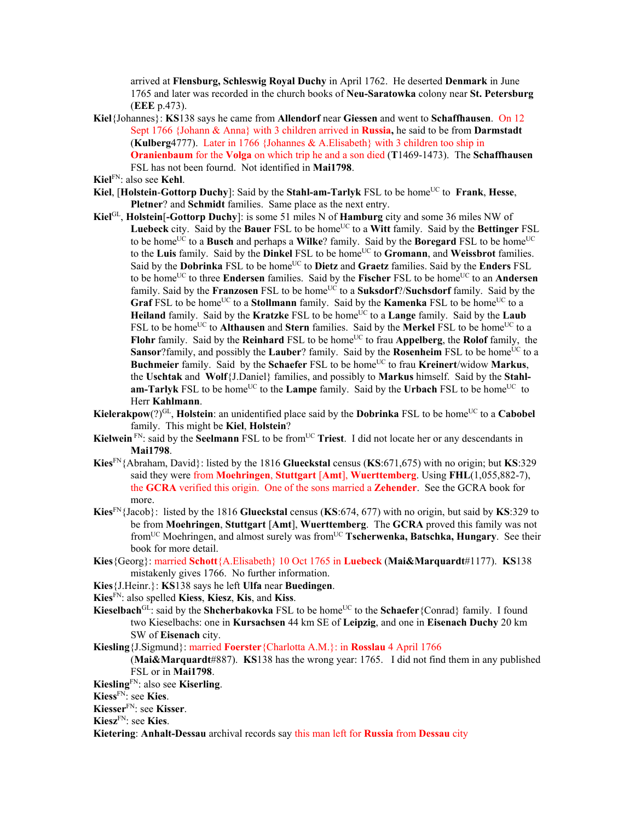arrived at **Flensburg, Schleswig Royal Duchy** in April 1762. He deserted **Denmark** in June 1765 and later was recorded in the church books of **Neu-Saratowka** colony near **St. Petersburg** (**EEE** p.473).

- **Kiel**{Johannes}: **KS**138 says he came from **Allendorf** near **Giessen** and went to **Schaffhausen**. On 12 Sept 1766 {Johann & Anna} with 3 children arrived in **Russia,** he said to be from **Darmstadt**  (**Kulberg**4777). Later in 1766 {Johannes & A.Elisabeth} with 3 children too ship in **Oranienbaum** for the **Volga** on which trip he and a son died (**T**1469-1473). The **Schaffhausen**  FSL has not been fournd. Not identified in **Mai1798**.
- **Kiel**FN: also see **Kehl**.
- **Kiel, [Holstein-Gottorp Duchy**]: Said by the **Stahl-am-Tarlyk** FSL to be home<sup>UC</sup> to **Frank**, **Hesse**, **Pletner**? and **Schmidt** families. Same place as the next entry.
- **Kiel**GL, **Holstein**[**-Gottorp Duchy**]: is some 51 miles N of **Hamburg** city and some 36 miles NW of Luebeck city. Said by the **Bauer** FSL to be home<sup>UC</sup> to a Witt family. Said by the **Bettinger** FSL to be home<sup>UC</sup> to a **Busch** and perhaps a **Wilke**? family. Said by the **Boregard** FSL to be home<sup>UC</sup> to the Luis family. Said by the Dinkel FSL to be home<sup>UC</sup> to **Gromann**, and Weissbrot families. Said by the **Dobrinka** FSL to be homeUC to **Dietz** and **Graetz** families. Said by the **Enders** FSL to be home<sup>UC</sup> to three **Endersen** families. Said by the **Fischer** FSL to be home<sup>UC</sup> to an **Andersen** family. Said by the **Franzosen** FSL to be home<sup>UC</sup> to a **Suksdorf**?/**Suchsdorf** family. Said by the Graf FSL to be home<sup>UC</sup> to a Stollmann family. Said by the **Kamenka** FSL to be home<sup>UC</sup> to a **Heiland** family. Said by the **Kratzke** FSL to be home<sup>UC</sup> to a **Lange** family. Said by the **Laub** FSL to be home<sup>UC</sup> to **Althausen** and **Stern** families. Said by the **Merkel** FSL to be home<sup>UC</sup> to a **Flohr** family. Said by the **Reinhard** FSL to be home<sup>UC</sup> to frau **Appelberg**, the **Rolof** family, the **Sansor**?family, and possibly the **Lauber**? family. Said by the **Rosenheim** FSL to be home<sup>UC</sup> to a **Buchmeier** family. Said by the **Schaefer** FSL to be home<sup>UC</sup> to frau **Kreinert**/widow **Markus**, the **Uschtak** and **Wolf**{J.Daniel} families, and possibly to **Markus** himself. Said by the **Stahlam-Tarlyk** FSL to be home<sup>UC</sup> to the **Lampe** family. Said by the **Urbach** FSL to be home<sup>UC</sup> to Herr **Kahlmann**.
- **Kielerakpow**(?)<sup>GL</sup>, **Holstein**: an unidentified place said by the **Dobrinka** FSL to be home<sup>UC</sup> to a **Cabobel** family. This might be **Kiel**, **Holstein**?
- Kielwein<sup>FN</sup>: said by the Seelmann FSL to be from<sup>UC</sup> Triest. I did not locate her or any descendants in **Mai1798**.
- **Kies**FN{Abraham, David}: listed by the 1816 **Glueckstal** census (**KS**:671,675) with no origin; but **KS**:329 said they were from **Moehringen**, **Stuttgart** [**Amt**], **Wuerttemberg**. Using **FHL**(1,055,882-7), the **GCRA** verified this origin. One of the sons married a **Zehender**. See the GCRA book for more.
- **Kies**FN{Jacob}: listed by the 1816 **Glueckstal** census (**KS**:674, 677) with no origin, but said by **KS**:329 to be from **Moehringen**, **Stuttgart** [**Amt**], **Wuerttemberg**. The **GCRA** proved this family was not fromUC Moehringen, and almost surely was fromUC **Tscherwenka, Batschka, Hungary**. See their book for more detail.
- **Kies**{Georg}: married **Schott**{A.Elisabeth} 10 Oct 1765 in **Luebeck** (**Mai&Marquardt**#1177). **KS**138 mistakenly gives 1766. No further information.
- **Kies**{J.Heinr.}: **KS**138 says he left **Ulfa** near **Buedingen**.
- **Kies**FN: also spelled **Kiess**, **Kiesz**, **Kis**, and **Kiss**.
- **Kieselbach**<sup>GL</sup>: said by the **Shcherbakovka** FSL to be home<sup>UC</sup> to the **Schaefer**{Conrad} family. I found two Kieselbachs: one in **Kursachsen** 44 km SE of **Leipzig**, and one in **Eisenach Duchy** 20 km SW of **Eisenach** city.
- **Kiesling**{J.Sigmund}: married **Foerster**{Charlotta A.M.}: in **Rosslau** 4 April 1766
	- (**Mai&Marquardt**#887). **KS**138 has the wrong year: 1765. I did not find them in any published FSL or in **Mai1798**.
- **Kiesling**FN: also see **Kiserling**.
- **Kiess**FN: see **Kies**.
- **Kiesser**FN: see **Kisser**.
- **Kiesz**FN: see **Kies**.

**Kietering**: **Anhalt-Dessau** archival records say this man left for **Russia** from **Dessau** city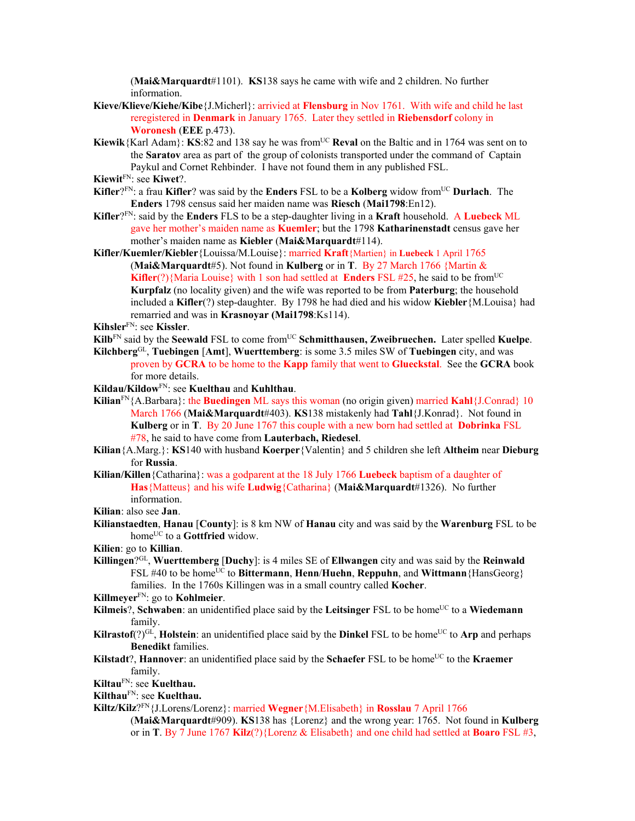(**Mai&Marquardt**#1101). **KS**138 says he came with wife and 2 children. No further information.

- **Kieve/Klieve/Kiehe/Kibe**{J.Micherl}: arrivied at **Flensburg** in Nov 1761. With wife and child he last reregistered in **Denmark** in January 1765. Later they settled in **Riebensdorf** colony in **Woronesh** (**EEE** p.473).
- **Kiewik**{Karl Adam}: **KS**:82 and 138 say he was from<sup>UC</sup> **Reval** on the Baltic and in 1764 was sent on to the **Saratov** area as part of the group of colonists transported under the command of Captain Paykul and Cornet Rehbinder. I have not found them in any published FSL.
- **Kiewit**FN: see **Kiwet**?.
- **Kifler**?FN: a frau **Kifler**? was said by the **Enders** FSL to be a **Kolberg** widow fromUC **Durlach**. The **Enders** 1798 census said her maiden name was **Riesch** (**Mai1798**:En12).
- **Kifler**?FN: said by the **Enders** FLS to be a step-daughter living in a **Kraft** household. A **Luebeck** ML gave her mother's maiden name as **Kuemler**; but the 1798 **Katharinenstadt** census gave her mother's maiden name as **Kiebler** (**Mai&Marquardt**#114).
- **Kifler/Kuemler/Kiebler**{Louissa/M.Louise}: married **Kraft**{Martien} in **Luebeck** 1 April 1765 (**Mai&Marquardt**#5). Not found in **Kulberg** or in **T**. By 27 March 1766 {Martin & **Kifler**(?){Maria Louise} with 1 son had settled at **Enders** FSL #25, he said to be from<sup>UC</sup> **Kurpfalz** (no locality given) and the wife was reported to be from **Paterburg**; the household included a **Kifler**(?) step-daughter. By 1798 he had died and his widow **Kiebler**{M.Louisa} had remarried and was in **Krasnoyar (Mai1798**:Ks114).
- **Kihsler**FN: see **Kissler**.
- **Kilb**<sup>FN</sup> said by the **Seewald** FSL to come from<sup>UC</sup> **Schmitthausen, Zweibruechen.** Later spelled **Kuelpe**.
- **Kilchberg**GL, **Tuebingen** [**Amt**], **Wuerttemberg**: is some 3.5 miles SW of **Tuebingen** city, and was proven by **GCRA** to be home to the **Kapp** family that went to **Glueckstal**. See the **GCRA** book for more details.
- **Kildau/Kildow**FN: see **Kuelthau** and **Kuhlthau**.
- **Kilian**FN{A.Barbara}: the **Buedingen** ML says this woman (no origin given) married **Kahl**{J.Conrad} 10 March 1766 (**Mai&Marquardt**#403). **KS**138 mistakenly had **Tahl**{J.Konrad}.Not found in **Kulberg** or in **T**. By 20 June 1767 this couple with a new born had settled at **Dobrinka** FSL #78, he said to have come from **Lauterbach, Riedesel**.
- **Kilian**{A.Marg.}: **KS**140 with husband **Koerper**{Valentin} and 5 children she left **Altheim** near **Dieburg**  for **Russia**.
- **Kilian/Killen**{Catharina}: was a godparent at the 18 July 1766 **Luebeck** baptism of a daughter of **Has**{Matteus} and his wife **Ludwig**{Catharina} (**Mai&Marquardt**#1326). No further information.
- **Kilian**: also see **Jan**.
- **Kilianstaedten**, **Hanau** [**County**]: is 8 km NW of **Hanau** city and was said by the **Warenburg** FSL to be home<sup>UC</sup> to a Gottfried widow.

**Kilien**: go to **Killian**.

- **Killingen**?GL, **Wuerttemberg** [**Duchy**]: is 4 miles SE of **Ellwangen** city and was said by the **Reinwald** FSL #40 to be homeUC to **Bittermann**, **Henn**/**Huehn**, **Reppuhn**, and **Wittmann**{HansGeorg} families. In the 1760s Killingen was in a small country called **Kocher**.
- **Killmeyer**FN: go to **Kohlmeier**.
- **Kilmeis**?, **Schwaben**: an unidentified place said by the **Leitsinger** FSL to be home<sup>UC</sup> to a **Wiedemann** family.
- **Kilrastof**(?)<sup>GL</sup>, **Holstein**: an unidentified place said by the **Dinkel** FSL to be home<sup>UC</sup> to **Arp** and perhaps **Benedikt** families.
- **Kilstadt**?, **Hannover**: an unidentified place said by the **Schaefer** FSL to be home<sup>UC</sup> to the **Kraemer** family.
- **Kiltau**FN: see **Kuelthau.**

```
KilthauFN: see Kuelthau.
```
- **Kiltz/Kilz**?FN{J.Lorens/Lorenz}: married **Wegner**{M.Elisabeth} in **Rosslau** 7 April 1766
	- (**Mai&Marquardt**#909). **KS**138 has {Lorenz} and the wrong year: 1765. Not found in **Kulberg**  or in **T**. By 7 June 1767 **Kilz**(?){Lorenz & Elisabeth} and one child had settled at **Boaro** FSL #3,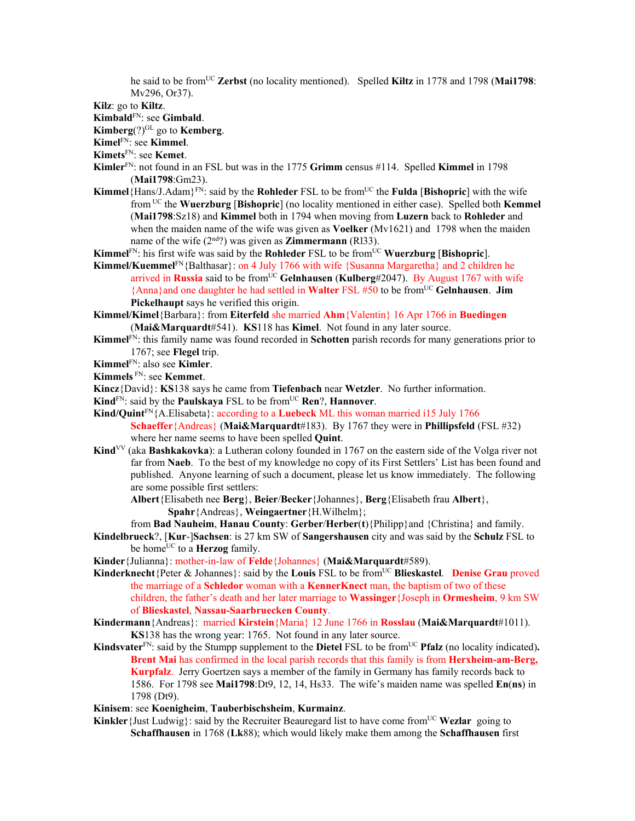he said to be from<sup>UC</sup> Zerbst (no locality mentioned). Spelled Kiltz in 1778 and 1798 (Mai1798: Mv296, Or37).

**Kilz**: go to **Kiltz**.

**Kimbald**FN: see **Gimbald**.

**Kimberg**(?)GL go to **Kemberg**.

**Kimel**FN: see **Kimmel**.

**Kimets**FN: see **Kemet**.

- **Kimler**FN: not found in an FSL but was in the 1775 **Grimm** census #114. Spelled **Kimmel** in 1798 (**Mai1798**:Gm23).
- **Kimmel**{Hans/J.Adam}FN: said by the **Rohleder** FSL to be fromUC the **Fulda** [**Bishopric**] with the wife from UC the **Wuerzburg** [**Bishopric**] (no locality mentioned in either case). Spelled both **Kemmel** (**Mai1798**:Sz18) and **Kimmel** both in 1794 when moving from **Luzern** back to **Rohleder** and when the maiden name of the wife was given as **Voelker** (Mv1621) and 1798 when the maiden name of the wife (2<sup>nd</sup>?) was given as **Zimmermann** (Rl33).
- **Kimmel**<sup>FN</sup>: his first wife was said by the **Rohleder** FSL to be from<sup>UC</sup> **Wuerzburg** [Bishopric].
- Kimmel/Kuemmel<sup>FN</sup>{Balthasar}: on 4 July 1766 with wife {Susanna Margaretha} and 2 children he arrived in **Russia** said to be fromUC **Gelnhausen** (**Kulberg**#2047). By August 1767 with wife {Anna}and one daughter he had settled in **Walter** FSL #50 to be fromUC **Gelnhausen**. **Jim Pickelhaupt** says he verified this origin.
- **Kimmel/Kimel**{Barbara}: from **Eiterfeld** she married **Ahm**{Valentin} 16 Apr 1766 in **Buedingen** (**Mai&Marquardt**#541). **KS**118 has **Kimel**. Not found in any later source.
- **Kimmel**FN: this family name was found recorded in **Schotten** parish records for many generations prior to 1767; see **Flegel** trip.
- **Kimmel**FN: also see **Kimler**.
- **Kimmels** FN: see **Kemmet**.
- **Kincz**{David}: **KS**138 says he came from **Tiefenbach** near **Wetzler**. No further information.
- **Kind**<sup>FN</sup>: said by the **Paulskaya** FSL to be from<sup>UC</sup> **Ren**?, **Hannover**.
- **Kind/Quint**FN{A.Elisabeta}: according to a **Luebeck** ML this woman married i15 July 1766 **Schaeffer**{Andreas} (**Mai&Marquardt**#183). By 1767 they were in **Phillipsfeld** (FSL #32) where her name seems to have been spelled **Quint**.
- Kind<sup>VV</sup> (aka Bashkakovka): a Lutheran colony founded in 1767 on the eastern side of the Volga river not far from **Naeb**. To the best of my knowledge no copy of its First Settlers' List has been found and published. Anyone learning of such a document, please let us know immediately. The following are some possible first settlers:

**Albert**{Elisabeth nee **Berg**}, **Beier**/**Becker**{Johannes}, **Berg**{Elisabeth frau **Albert**}, **Spahr**{Andreas}, **Weingaertner**{H.Wilhelm};

from **Bad Nauheim**, **Hanau County**: **Gerber**/**Herber**(**t**){Philipp}and {Christina} and family.

- **Kindelbrueck**?, [**Kur**-]**Sachsen**: is 27 km SW of **Sangershausen** city and was said by the **Schulz** FSL to be home<sup>UC</sup> to a **Herzog** family.
- **Kinder**{Julianna}: mother-in-law of **Felde**{Johannes} (**Mai&Marquardt**#589).
- **Kinderknecht**{Peter & Johannes}: said by the **Louis** FSL to be fromUC **Blieskastel**. **Denise Grau** proved the marriage of a **Schledor** woman with a **KennerKnect** man, the baptism of two of these children, the father's death and her later marriage to **Wassinger**{Joseph in **Ormesheim**, 9 km SW of **Blieskastel**, **Nassau-Saarbruecken County**.
- **Kindermann**{Andreas}: married **Kirstein**{Maria} 12 June 1766 in **Rosslau** (**Mai&Marquardt**#1011). **KS**138 has the wrong year: 1765. Not found in any later source.
- **Kindsvater**<sup>FN</sup>: said by the Stumpp supplement to the **Dietel** FSL to be from<sup>UC</sup> **Pfalz** (no locality indicated). **Brent Mai** has confirmed in the local parish records that this family is from **Herxheim-am-Berg, Kurpfalz**. Jerry Goertzen says a member of the family in Germany has family records back to 1586. For 1798 see **Mai1798**:Dt9, 12, 14, Hs33. The wife's maiden name was spelled **En**(**ns**) in 1798 (Dt9).

**Kinisem**: see **Koenigheim**, **Tauberbischsheim**, **Kurmainz**.

**Kinkler** {Just Ludwig}: said by the Recruiter Beauregard list to have come from<sup>UC</sup> Wezlar going to **Schaffhausen** in 1768 (**Lk**88); which would likely make them among the **Schaffhausen** first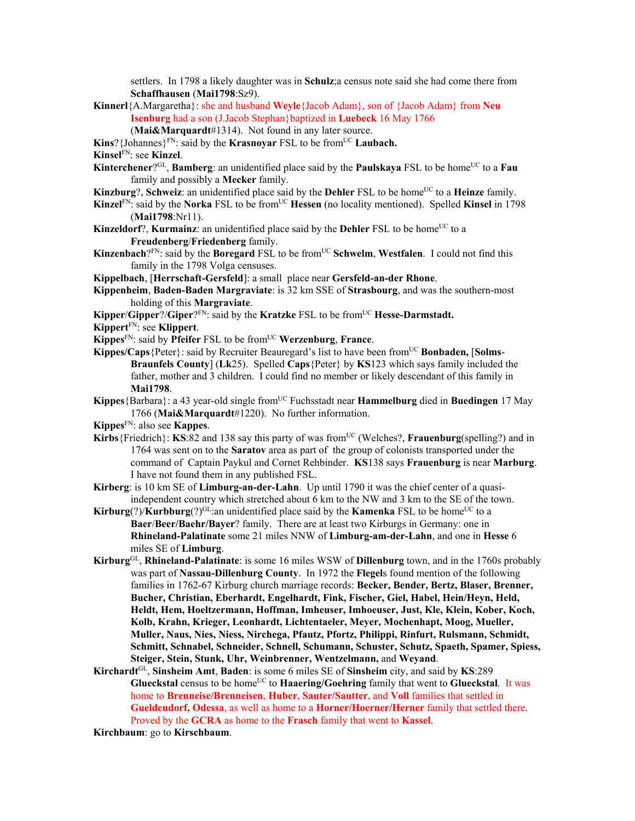settlers. In 1798 a likely daughter was in **Schulz**;a census note said she had come there from **Schaffhausen** (**Mai1798**:Sz9).

**Kinnerl**{A.Margaretha}: she and husband **Weyle**{Jacob Adam}, son of {Jacob Adam} from **Neu Isenburg** had a son (J.Jacob Stephan}baptized in **Luebeck** 16 May 1766 (**Mai&Marquardt**#1314). Not found in any later source.

**Kins**? {Johannes}<sup>FN</sup>: said by the **Krasnoyar** FSL to be from<sup>UC</sup> **Laubach.** 

**Kinsel**FN: see **Kinzel**.

- **Kinterchener**?<sup>GL</sup>, **Bamberg**: an unidentified place said by the **Paulskaya** FSL to be home<sup>UC</sup> to a **Fau** family and possibly a **Mecker** family.
- **Kinzburg**?, **Schweiz**: an unidentified place said by the **Dehler** FSL to be home<sup>UC</sup> to a **Heinze** family.
- **Kinzel<sup>FN</sup>:** said by the **Norka** FSL to be from<sup>UC</sup> **Hessen** (no locality mentioned). Spelled **Kinsel** in 1798 (**Mai1798**:Nr11).
- **Kinzeldorf**?, **Kurmainz**: an unidentified place said by the **Dehler** FSL to be home<sup>UC</sup> to a **Freudenberg**/**Friedenberg** family.
- **Kinzenbach**?<sup>FN</sup>: said by the **Boregard** FSL to be from<sup>UC</sup> Schwelm, Westfalen. I could not find this family in the 1798 Volga censuses.

**Kippelbach**, [**Herrschaft-Gersfeld**]: a small place near **Gersfeld-an-der Rhone**.

- **Kippenheim**, **Baden-Baden Margraviate**: is 32 km SSE of **Strasbourg**, and was the southern-most holding of this **Margraviate**.
- **Kipper/Gipper**?/**Giper**?<sup>FN:</sup> said by the **Kratzke** FSL to be from<sup>UC</sup> **Hesse-Darmstadt.**
- **Kippert**FN: see **Klippert**.
- **Kippes**FN: said by **Pfeifer** FSL to be fromUC **Werzenburg**, **France**.
- **Kippes/Caps** {Peter}: said by Recruiter Beauregard's list to have been from<sup>UC</sup> **Bonbaden, [Solms**-**Braunfels County**] (**Lk**25). Spelled **Caps**{Peter} by **KS**123 which says family included the father, mother and 3 children. I could find no member or likely descendant of this family in **Mai1798**.
- **Kippes** {Barbara}: a 43 year-old single from<sup>UC</sup> Fuchsstadt near **Hammelburg** died in **Buedingen** 17 May 1766 (**Mai&Marquardt**#1220). No further information.
- **Kippes**FN: also see **Kappes**.
- Kirbs {Friedrich}: KS:82 and 138 say this party of was from<sup>UC</sup> (Welches?, Frauenburg(spelling?) and in 1764 was sent on to the **Saratov** area as part of the group of colonists transported under the command of Captain Paykul and Cornet Rehbinder. **KS**138 says **Frauenburg** is near **Marburg**. I have not found them in any published FSL.
- **Kirberg**: is 10 km SE of **Limburg-an-der-Lahn**. Up until 1790 it was the chief center of a quasiindependent country which stretched about 6 km to the NW and 3 km to the SE of the town.
- **Kirburg**(?)**/Kurbburg**(?)<sup>GL:</sup>an unidentified place said by the **Kamenka** FSL to be home<sup>UC</sup> to a **Baer**/**Beer/Baehr/Bayer**? family. There are at least two Kirburgs in Germany: one in **Rhineland-Palatinate** some 21 miles NNW of **Limburg-am-der-Lahn**, and one in **Hesse** 6 miles SE of **Limburg**.
- **Kirburg**GL, **Rhineland-Palatinate**: is some 16 miles WSW of **Dillenburg** town, and in the 1760s probably was part of **Nassau-Dillenburg County**. In 1972 the **Flegel**s found mention of the following families in 1762-67 Kirburg church marriage records: **Becker, Bender, Bertz, Blaser, Brenner, Bucher, Christian, Eberhardt, Engelhardt, Fink, Fischer, Giel, Habel, Hein/Heyn, Held, Heldt, Hem, Hoeltzermann, Hoffman, Imheuser, Imhoeuser, Just, Kle, Klein, Kober, Koch, Kolb, Krahn, Krieger, Leonhardt, Lichtentaeler, Meyer, Mochenhapt, Moog, Mueller, Muller, Naus, Nies, Niess, Nirchega, Pfautz, Pfortz, Philippi, Rinfurt, Rulsmann, Schmidt, Schmitt, Schnabel, Schneider, Schnell, Schumann, Schuster, Schutz, Spaeth, Spamer, Spiess, Steiger, Stein, Stunk, Uhr, Weinbrenner, Wentzelmann,** and **Weyand**.
- **Kirchardt**GL, **Sinsheim Amt**, **Baden**: is some 6 miles SE of **Sinsheim** city, and said by **KS**:289 **Glueckstal** census to be home<sup>UC</sup> to **Haaering/Goehring** family that went to **Glueckstal**. It was home to **Brenneise/Brenneisen**, **Huber**, **Sauter/Sautter**, and **Voll** families that settled in **Gueldendorf, Odessa**, as well as home to a **Horner/Hoerner/Herner** family that settled there. Proved by the **GCRA** as home to the **Frasch** family that went to **Kassel**.

**Kirchbaum**: go to **Kirschbaum**.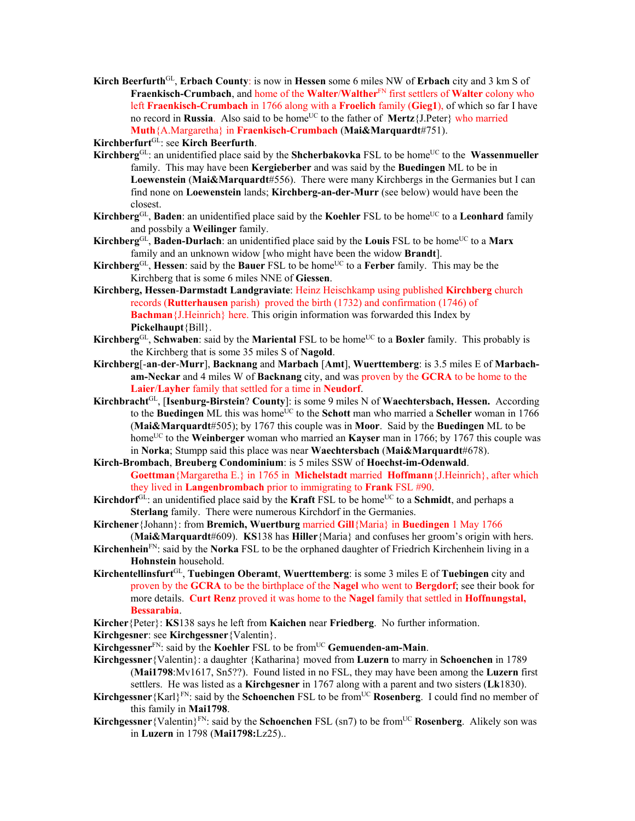**Kirch Beerfurth**GL, **Erbach County**: is now in **Hessen** some 6 miles NW of **Erbach** city and 3 km S of **Fraenkisch-Crumbach**, and home of the **Walter**/**Walther**FN first settlers of **Walter** colony who left **Fraenkisch-Crumbach** in 1766 along with a **Froelich** family (**Gieg1**), of which so far I have no record in **Russia**. Also said to be home<sup>UC</sup> to the father of **Mertz**{J.Peter} who married **Muth**{A.Margaretha} in **Fraenkisch-Crumbach** (**Mai&Marquardt**#751).

**Kirchberfurt**GL: see **Kirch Beerfurth**.

- **Kirchberg**<sup>GL</sup>: an unidentified place said by the **Shcherbakovka** FSL to be home<sup>UC</sup> to the **Wassenmueller** family. This may have been **Kergieberber** and was said by the **Buedingen** ML to be in **Loewenstein** (**Mai&Marquardt**#556). There were many Kirchbergs in the Germanies but I can find none on **Loewenstein** lands; **Kirchberg-an-der-Murr** (see below) would have been the closest.
- **Kirchberg**<sup>GL</sup>, **Baden**: an unidentified place said by the **Koehler** FSL to be home<sup>UC</sup> to a **Leonhard** family and possbily a **Weilinger** family.
- **Kirchberg**GL, **Baden-Durlach**: an unidentified place said by the **Louis** FSL to be home<sup>UC</sup> to a Marx family and an unknown widow [who might have been the widow **Brandt**].
- **Kirchberg**GL, **Hessen**: said by the **Bauer** FSL to be home<sup>UC</sup> to a **Ferber** family. This may be the Kirchberg that is some 6 miles NNE of **Giessen**.
- **Kirchberg, Hessen**-**Darmstadt Landgraviate**: Heinz Heischkamp using published **Kirchberg** church records (**Rutterhausen** parish) proved the birth (1732) and confirmation (1746) of **Bachman**{J.Heinrich} here. This origin information was forwarded this Index by **Pickelhaupt**{Bill}.
- **Kirchberg**GL, **Schwaben**: said by the **Mariental** FSL to be home<sup>UC</sup> to a **Boxler** family. This probably is the Kirchberg that is some 35 miles S of **Nagold**.
- **Kirchberg**[-**an**-**der**-**Murr**], **Backnang** and **Marbach** [**Amt**], **Wuerttemberg**: is 3.5 miles E of **Marbacham-Neckar** and 4 miles W of **Backnang** city, and was proven by the **GCRA** to be home to the **Laier**/**Layher** family that settled for a time in **Neudorf**.
- **Kirchbracht**GL, [**Isenburg-Birstein**? **County**]: is some 9 miles N of **Waechtersbach, Hessen.** According to the **Buedingen** ML this was home<sup>UC</sup> to the **Schott** man who married a **Scheller** woman in 1766 (**Mai&Marquardt**#505); by 1767 this couple was in **Moor**. Said by the **Buedingen** ML to be home<sup>UC</sup> to the **Weinberger** woman who married an **Kayser** man in 1766; by 1767 this couple was in **Norka**; Stumpp said this place was near **Waechtersbach** (**Mai&Marquardt**#678).
- **Kirch-Brombach**, **Breuberg Condominium**: is 5 miles SSW of **Hoechst-im-Odenwald**. **Goettman**{Margaretha E.} in 1765 in **Michelstadt** married **Hoffmann**{J.Heinrich}, after which they lived in **Langenbrombach** prior to immigrating to **Frank** FSL #90.
- **Kirchdorf** $G<sup>L</sup>$ : an unidentified place said by the **Kraft** FSL to be home<sup>UC</sup> to a **Schmidt**, and perhaps a **Sterlang** family. There were numerous Kirchdorf in the Germanies.
- **Kirchener**{Johann}: from **Bremich, Wuertburg** married **Gill**{Maria} in **Buedingen** 1 May 1766 (**Mai&Marquardt**#609). **KS**138 has **Hiller**{Maria} and confuses her groom's origin with hers.
- **Kirchenhein**FN: said by the **Norka** FSL to be the orphaned daughter of Friedrich Kirchenhein living in a **Hohnstein** household.
- **Kirchentellinsfurt**GL, **Tuebingen Oberamt**, **Wuerttemberg**: is some 3 miles E of **Tuebingen** city and proven by the **GCRA** to be the birthplace of the **Nagel** who went to **Bergdorf**; see their book for more details. **Curt Renz** proved it was home to the **Nagel** family that settled in **Hoffnungstal, Bessarabia**.
- **Kircher**{Peter}: **KS**138 says he left from **Kaichen** near **Friedberg**. No further information.

**Kirchgesner**: see **Kirchgessner**{Valentin}.

- **Kirchgessner**<sup>FN</sup>: said by the **Koehler** FSL to be from<sup>UC</sup> **Gemuenden-am-Main**.
- **Kirchgessner**{Valentin}: a daughter {Katharina} moved from **Luzern** to marry in **Schoenchen** in 1789 (**Mai1798**:Mv1617, Sn5??). Found listed in no FSL, they may have been among the **Luzern** first settlers. He was listed as a **Kirchgesner** in 1767 along with a parent and two sisters (**Lk**1830).
- **Kirchgessner** {Karl}<sup>FN</sup>: said by the **Schoenchen** FSL to be from<sup>UC</sup> **Rosenberg**. I could find no member of this family in **Mai1798**.
- **Kirchgessner** {Valentin}<sup>FN</sup>: said by the **Schoenchen** FSL (sn7) to be from<sup>UC</sup> **Rosenberg**. Alikely son was in **Luzern** in 1798 (**Mai1798:**Lz25)..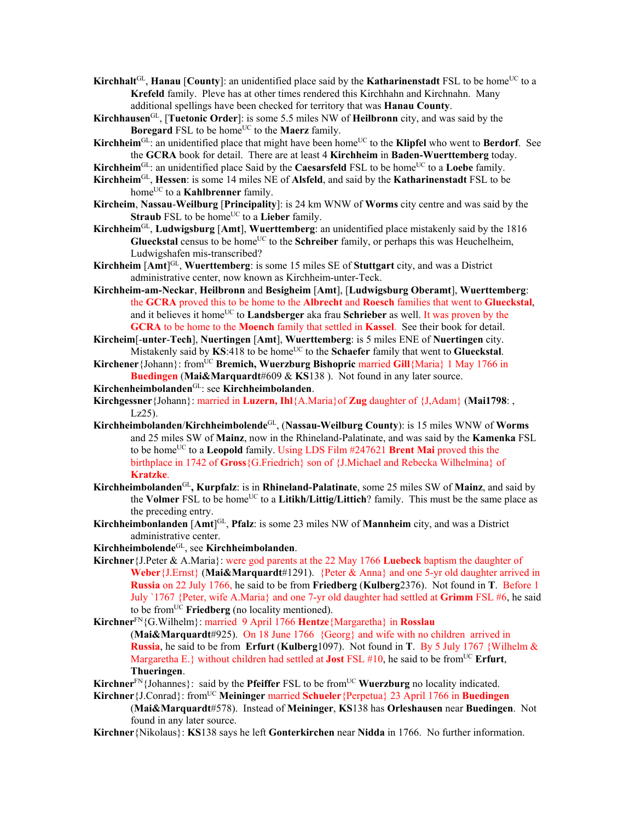**Kirchhalt**<sup>GL</sup>, **Hanau** [**County**]: an unidentified place said by the **Katharinenstadt** FSL to be home<sup>UC</sup> to a **Krefeld** family. Pleve has at other times rendered this Kirchhahn and Kirchnahn. Many additional spellings have been checked for territory that was **Hanau County**.

- **Kirchhausen**GL, [**Tuetonic Order**]: is some 5.5 miles NW of **Heilbronn** city, and was said by the **Boregard** FSL to be home<sup>UC</sup> to the **Maerz** family.
- **Kirchheim**<sup>GL</sup>: an unidentified place that might have been home<sup>UC</sup> to the **Klipfel** who went to **Berdorf**. See the **GCRA** book for detail. There are at least 4 **Kirchheim** in **Baden-Wuerttemberg** today.

Kirchheim<sup>GL</sup>: an unidentified place Said by the **Caesarsfeld** FSL to be home<sup>UC</sup> to a **Loebe** family.

- **Kirchheim**GL, **Hessen**: is some 14 miles NE of **Alsfeld**, and said by the **Katharinenstadt** FSL to be home<sup>UC</sup> to a **Kahlbrenner** family.
- **Kircheim**, **Nassau**-**Weilburg** [**Principality**]: is 24 km WNW of **Worms** city centre and was said by the **Straub** FSL to be home<sup>UC</sup> to a **Lieber** family.
- **Kirchheim**GL, **Ludwigsburg** [**Amt**], **Wuerttemberg**: an unidentified place mistakenly said by the 1816 Glueckstal census to be home<sup>UC</sup> to the Schreiber family, or perhaps this was Heuchelheim, Ludwigshafen mis-transcribed?
- **Kirchheim** [**Amt**] GL, **Wuerttemberg**: is some 15 miles SE of **Stuttgart** city, and was a District administrative center, now known as Kirchheim-unter-Teck.
- **Kirchheim-am-Neckar**, **Heilbronn** and **Besigheim** [**Amt**], [**Ludwigsburg Oberamt**], **Wuerttemberg**: the **GCRA** proved this to be home to the **Albrecht** and **Roesch** families that went to **Glueckstal**, and it believes it home<sup>UC</sup> to **Landsberger** aka frau **Schrieber** as well. It was proven by the **GCRA** to be home to the **Moench** family that settled in **Kassel**. See their book for detail.
- **Kircheim**[-**unter**-**Tech**], **Nuertingen** [**Amt**], **Wuerttemberg**: is 5 miles ENE of **Nuertingen** city. Mistakenly said by KS:418 to be home<sup>UC</sup> to the **Schaefer** family that went to **Glueckstal**.
- **Kirchener** {Johann}: from<sup>UC</sup> **Bremich, Wuerzburg Bishopric** married **Gill** {Maria} 1 May 1766 in **Buedingen** (**Mai&Marquardt**#609 & **KS**138 ). Not found in any later source.
- **Kirchenheimbolanden**GL: see **Kirchheimbolanden**.
- **Kirchgessner**{Johann}: married in **Luzern, Ihl**{A.Maria}of **Zug** daughter of {J,Adam} (**Mai1798**: , Lz25).
- **Kirchheimbolanden**/**Kirchheimbolende**GL, (**Nassau-Weilburg County**): is 15 miles WNW of **Worms** and 25 miles SW of **Mainz**, now in the Rhineland-Palatinate, and was said by the **Kamenka** FSL to be home<sup>UC</sup> to a **Leopold** family. Using LDS Film #247621 **Brent Mai** proved this the birthplace in 1742 of **Gross**{G.Friedrich} son of {J.Michael and Rebecka Wilhelmina} of **Kratzke**.
- **Kirchheimbolanden**GL**, Kurpfalz**: is in **Rhineland-Palatinate**, some 25 miles SW of **Mainz**, and said by the **Volmer** FSL to be home<sup>UC</sup> to a **Litikh/Littig/Littich**? family. This must be the same place as the preceding entry.
- **Kirchheimbonlanden** [**Amt**] GL, **Pfalz**: is some 23 miles NW of **Mannheim** city, and was a District administrative center.
- **Kirchheimbolende**GL, see **Kirchheimbolanden**.
- **Kirchner**{J.Peter & A.Maria}: were god parents at the 22 May 1766 **Luebeck** baptism the daughter of **Weber**{J.Ernst} (**Mai&Marquardt**#1291). {Peter & Anna} and one 5-yr old daughter arrived in **Russia** on 22 July 1766, he said to be from **Friedberg** (**Kulberg**2376). Not found in **T**. Before 1 July `1767 {Peter, wife A.Maria} and one 7-yr old daughter had settled at **Grimm** FSL #6, he said to be fromUC **Friedberg** (no locality mentioned).

**Kirchner**FN{G.Wilhelm}: married 9 April 1766 **Hentze**{Margaretha} in **Rosslau**

(**Mai&Marquardt**#925). On 18 June 1766 {Georg} and wife with no children arrived in **Russia**, he said to be from **Erfurt** (**Kulberg**1097). Not found in **T**. By 5 July 1767 {Wilhelm & Margaretha E.  $\}$  without children had settled at **Jost** FSL #10, he said to be from<sup>UC</sup> Erfurt, **Thueringen**.

**Kirchner**<sup>FN</sup>{Johannes}: said by the **Pfeiffer** FSL to be from<sup>UC</sup> **Wuerzburg** no locality indicated.

- Kirchner {J.Conrad}: from<sup>UC</sup> Meininger married Schueler {Perpetua} 23 April 1766 in Buedingen (**Mai&Marquardt**#578). Instead of **Meininger**, **KS**138 has **Orleshausen** near **Buedingen**. Not
	- found in any later source.
- **Kirchner**{Nikolaus}: **KS**138 says he left **Gonterkirchen** near **Nidda** in 1766. No further information.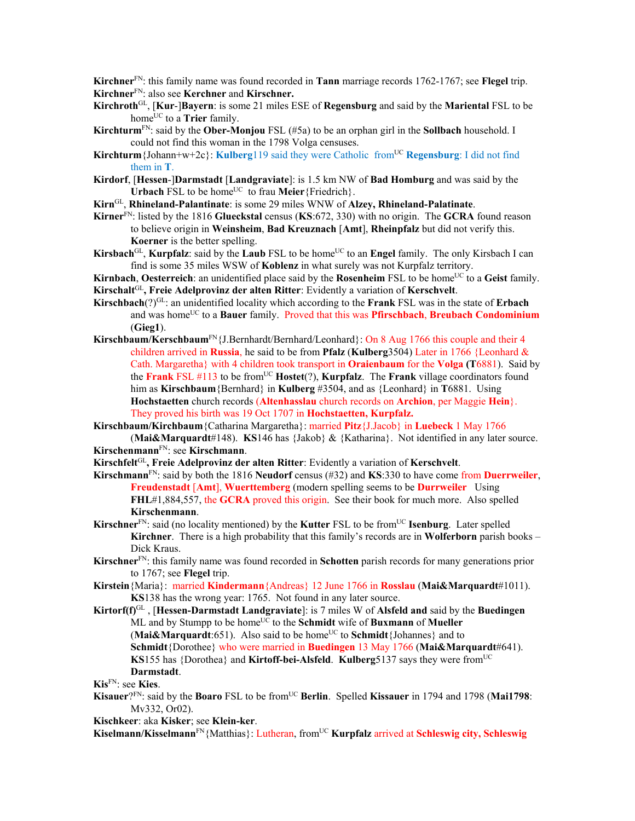**Kirchner**FN: this family name was found recorded in **Tann** marriage records 1762-1767; see **Flegel** trip. **Kirchner**FN: also see **Kerchner** and **Kirschner.** 

**Kirchroth**GL, [**Kur**-]**Bayern**: is some 21 miles ESE of **Regensburg** and said by the **Mariental** FSL to be home<sup>UC</sup> to a **Trier** family.

- **Kirchturm**<sup>FN</sup>: said by the **Ober-Monjou** FSL (#5a) to be an orphan girl in the **Sollbach** household. I could not find this woman in the 1798 Volga censuses.
- **Kirchturm**{Johann+w+2c}: **Kulberg**119 said they were Catholic from<sup>UC</sup> **Regensburg**: I did not find them in **T**.
- **Kirdorf**, [**Hessen**-]**Darmstadt** [**Landgraviate**]: is 1.5 km NW of **Bad Homburg** and was said by the **Urbach** FSL to be home<sup>UC</sup> to frau **Meier**{Friedrich}.
- **Kirn**GL, **Rhineland-Palantinate**: is some 29 miles WNW of **Alzey, Rhineland-Palatinate**.

**Kirner**FN: listed by the 1816 **Glueckstal** census (**KS**:672, 330) with no origin. The **GCRA** found reason to believe origin in **Weinsheim**, **Bad Kreuznach** [**Amt**], **Rheinpfalz** but did not verify this. **Koerner** is the better spelling.

**Kirsbach**<sup>GL</sup>, **Kurpfalz**: said by the **Laub** FSL to be home<sup>UC</sup> to an **Engel** family. The only Kirsbach I can find is some 35 miles WSW of **Koblenz** in what surely was not Kurpfalz territory.

**Kirnbach, Oesterreich**: an unidentified place said by the **Rosenheim** FSL to be home<sup>UC</sup> to a Geist family. **Kirschalt**GL**, Freie Adelprovinz der alten Ritter**: Evidently a variation of **Kerschvelt**.

**Kirschbach**(?)GL: an unidentified locality which according to the **Frank** FSL was in the state of **Erbach** and was homeUC to a **Bauer** family. Proved that this was **Pfirschbach**, **Breubach Condominium** (**Gieg1**).

Kirschbaum/Kerschbaum<sup>FN</sup>{J.Bernhardt/Bernhard/Leonhard}: On 8 Aug 1766 this couple and their 4 children arrived in **Russia**, he said to be from **Pfalz** (**Kulberg**3504) Later in 1766 {Leonhard & Cath. Margaretha} with 4 children took transport in **Oraienbaum** for the **Volga (T**6881). Said by the **Frank** FSL #113 to be fromUC **Hostet**(?), **Kurpfalz**. The **Frank** village coordinators found him as **Kirschbaum**{Bernhard} in **Kulberg** #3504, and as {Leonhard} in **T**6881. Using **Hochstaetten** church records (**Altenhasslau** church records on **Archion**, per Maggie **Hein**}. They proved his birth was 19 Oct 1707 in **Hochstaetten, Kurpfalz.**

**Kirschbaum/Kirchbaum**{Catharina Margaretha}: married **Pitz**{J.Jacob} in **Luebeck** 1 May 1766 (**Mai&Marquardt**#148). **KS**146 has {Jakob} & {Katharina}. Not identified in any later source.

**Kirschenmann**FN: see **Kirschmann**.

**Kirschfelt**GL**, Freie Adelprovinz der alten Ritter**: Evidently a variation of **Kerschvelt**.

**Kirschmann**FN: said by both the 1816 **Neudorf** census (#32) and **KS**:330 to have come from **Duerrweiler**, **Freudenstadt** [**Amt**], **Wuerttemberg** (modern spelling seems to be **Durrweiler** Using **FHL**#1,884,557, the **GCRA** proved this origin. See their book for much more. Also spelled **Kirschenmann**.

**Kirschner**<sup>FN</sup>: said (no locality mentioned) by the **Kutter** FSL to be from<sup>UC</sup> **Isenburg**. Later spelled **Kirchner**. There is a high probability that this family's records are in **Wolferborn** parish books – Dick Kraus.

**Kirschner**FN: this family name was found recorded in **Schotten** parish records for many generations prior to 1767; see **Flegel** trip.

**Kirstein**{Maria}: married **Kindermann**{Andreas} 12 June 1766 in **Rosslau** (**Mai&Marquardt**#1011). **KS**138 has the wrong year: 1765. Not found in any later source.

**Kirtorf(f)**GL , [**Hessen-Darmstadt Landgraviate**]: is 7 miles W of **Alsfeld and** said by the **Buedingen** ML and by Stumpp to be home<sup>UC</sup> to the **Schmidt** wife of **Buxmann** of **Mueller** (Mai&Marquardt:651). Also said to be home<sup>UC</sup> to **Schmidt**{Johannes} and to **Schmidt**{Dorothee} who were married in **Buedingen** 13 May 1766 (**Mai&Marquardt**#641). **KS**155 has {Dorothea} and **Kirtoff-bei-Alsfeld**. **Kulberg**5137 says they were from<sup>UC</sup> **Darmstadt**.

**Kis**FN: see **Kies**.

**Kisauer**?FN: said by the **Boaro** FSL to be from<sup>UC</sup> **Berlin**. Spelled **Kissauer** in 1794 and 1798 (Mai1798: Mv332, Or02).

**Kischkeer**: aka **Kisker**; see **Klein-ker**.

Kiselmann/Kisselmann<sup>FN</sup>{Matthias}: Lutheran, from<sup>UC</sup> Kurpfalz arrived at Schleswig city, Schleswig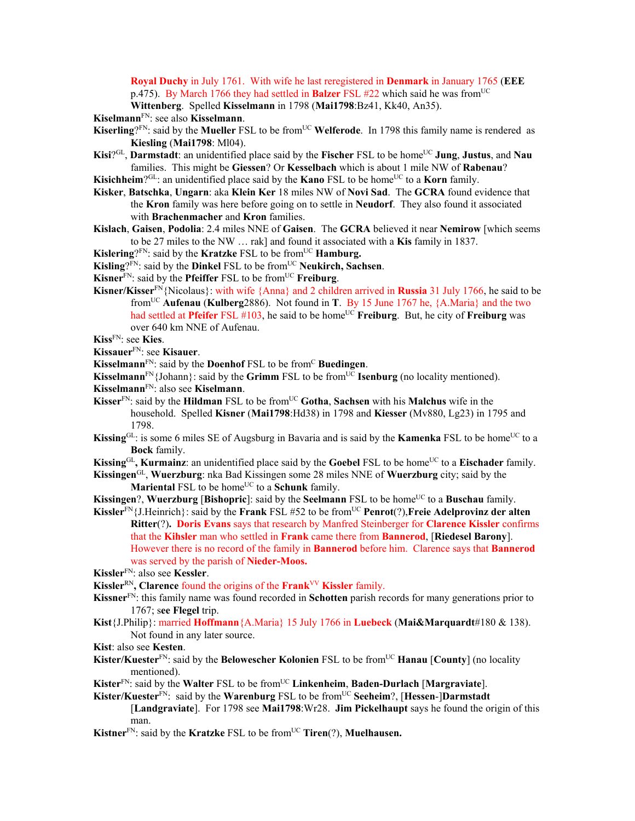**Royal Duchy** in July 1761. With wife he last reregistered in **Denmark** in January 1765 (**EEE** p.475). By March 1766 they had settled in **Balzer** FSL #22 which said he was from<sup>UC</sup>

**Wittenberg**. Spelled **Kisselmann** in 1798 (**Mai1798**:Bz41, Kk40, An35).

**Kiselmann**FN: see also **Kisselmann**.

- Kiserling?<sup>FN</sup>: said by the Mueller FSL to be from<sup>UC</sup> Welferode. In 1798 this family name is rendered as **Kiesling** (**Mai1798**: Ml04).
- **Kisi**?<sup>GL</sup>, **Darmstadt**: an unidentified place said by the **Fischer** FSL to be home<sup>UC</sup> **Jung**, **Justus**, and **Nau** families. This might be **Giessen**? Or **Kesselbach** which is about 1 mile NW of **Rabenau**?
- **Kisichheim**?GL: an unidentified place said by the **Kano** FSL to be home<sup>UC</sup> to a **Korn** family.
- **Kisker**, **Batschka**, **Ungarn**: aka **Klein Ker** 18 miles NW of **Novi Sad**. The **GCRA** found evidence that the **Kron** family was here before going on to settle in **Neudorf**. They also found it associated with **Brachenmacher** and **Kron** families.
- **Kislach**, **Gaisen**, **Podolia**: 2.4 miles NNE of **Gaisen**. The **GCRA** believed it near **Nemirow** [which seems to be 27 miles to the NW … rak] and found it associated with a **Kis** family in 1837.
- **Kislering**?<sup>FN</sup>: said by the **Kratzke** FSL to be from<sup>UC</sup> **Hamburg.**
- **Kisling**?<sup>FN</sup>: said by the **Dinkel** FSL to be from<sup>UC</sup> **Neukirch**, Sachsen.
- **Kisner**<sup>FN</sup>: said by the **Pfeiffer** FSL to be from<sup>UC</sup> **Freiburg**.
- **Kisner/Kisser**FN{Nicolaus}: with wife {Anna} and 2 children arrived in **Russia** 31 July 1766, he said to be fromUC **Aufenau** (**Kulberg**2886). Not found in **T**. By 15 June 1767 he, {A.Maria} and the two had settled at **Pfeifer** FSL #103, he said to be home<sup>UC</sup> **Freiburg**. But, he city of **Freiburg** was over 640 km NNE of Aufenau.
- **Kiss**FN: see **Kies**.
- **Kissauer**FN: see **Kisauer**.
- **Kisselmann**<sup>FN</sup>: said by the **Doenhof** FSL to be from<sup>C</sup> Buedingen.
- **Kisselmann**<sup>FN</sup>{Johann}: said by the **Grimm** FSL to be from<sup>UC</sup> **Isenburg** (no locality mentioned).
- **Kisselmann**FN: also see **Kiselmann**.
- **Kisser**<sup>FN</sup>: said by the **Hildman** FSL to be from<sup>UC</sup> Gotha, Sachsen with his **Malchus** wife in the household. Spelled **Kisner** (**Mai1798**:Hd38) in 1798 and **Kiesser** (Mv880, Lg23) in 1795 and 1798.
- Kissing<sup>GL</sup>: is some 6 miles SE of Augsburg in Bavaria and is said by the Kamenka FSL to be home<sup>UC</sup> to a **Bock** family.
- **Kissing**<sup>GL</sup>, **Kurmainz**: an unidentified place said by the **Goebel** FSL to be home<sup>UC</sup> to a **Eischader** family.

**Kissingen**GL, **Wuerzburg**: nka Bad Kissingen some 28 miles NNE of **Wuerzburg** city; said by the **Mariental FSL to be home<sup>UC</sup> to a <b>Schunk** family.

**Kissingen?, Wuerzburg [Bishopric]:** said by the **Seelmann** FSL to be home<sup>UC</sup> to a **Buschau** family.

**Kissler**FN{J.Heinrich}: said by the **Frank** FSL #52 to be fromUC **Penrot**(?),**Freie Adelprovinz der alten Ritter**(?)**. Doris Evans** says that research by Manfred Steinberger for **Clarence Kissler** confirms that the **Kihsler** man who settled in **Frank** came there from **Bannerod**, [**Riedesel Barony**]. However there is no record of the family in **Bannerod** before him. Clarence says that **Bannerod** was served by the parish of **Nieder-Moos.**

- **Kissler**FN: also see **Kessler**.
- **Kissler**RN**, Clarence** found the origins of the **Frank**VV **Kissler** family.
- **Kissner**FN: this family name was found recorded in **Schotten** parish records for many generations prior to 1767; s**ee Flegel** trip.
- **Kist**{J.Philip}: married **Hoffmann**{A.Maria} 15 July 1766 in **Luebeck** (**Mai&Marquardt**#180 & 138). Not found in any later source.
- **Kist**: also see **Kesten**.
- **Kister/Kuester**<sup>FN</sup>: said by the **Belowescher Kolonien** FSL to be from<sup>UC</sup> **Hanau** [County] (no locality mentioned).
- **Kister**FN: said by the **Walter** FSL to be fromUC **Linkenheim**, **Baden-Durlach** [**Margraviate**].
- **Kister/Kuester**FN: said by the **Warenburg** FSL to be fromUC **Seeheim**?, [**Hessen**-]**Darmstadt**
	- [**Landgraviate**]. For 1798 see **Mai1798**:Wr28. **Jim Pickelhaupt** says he found the origin of this man.
- **Kistner**<sup>FN</sup>: said by the **Kratzke** FSL to be from<sup>UC</sup> **Tiren**(?), **Muelhausen.**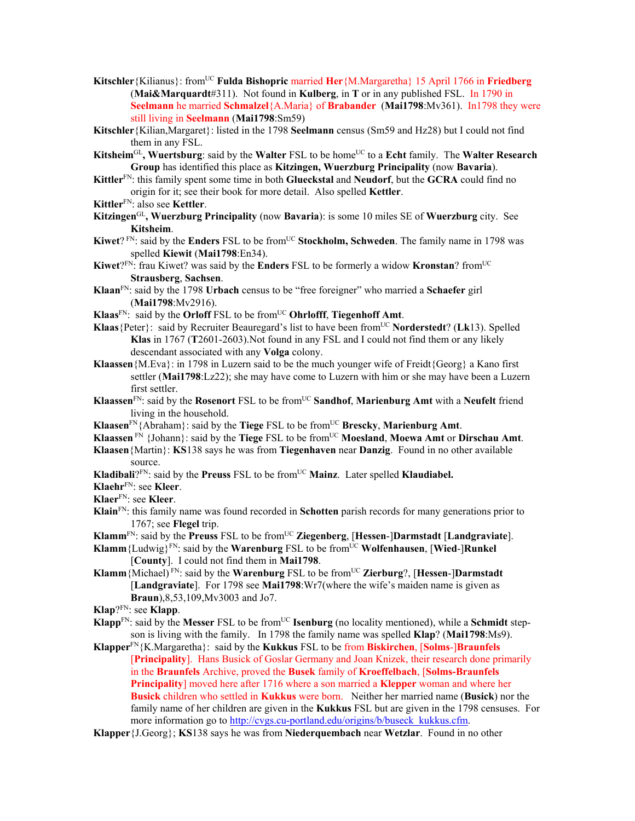- **Kitschler**{Kilianus}: fromUC **Fulda Bishopric** married **Her**{M.Margaretha} 15 April 1766 in **Friedberg**  (**Mai&Marquardt**#311). Not found in **Kulberg**, in **T** or in any published FSL. In 1790 in **Seelmann** he married **Schmalzel**{A.Maria} of **Brabander** (**Mai1798**:Mv361). In1798 they were still living in **Seelmann** (**Mai1798**:Sm59)
- **Kitschler**{Kilian,Margaret}: listed in the 1798 **Seelmann** census (Sm59 and Hz28) but I could not find them in any FSL.
- **Kitsheim**GL**, Wuertsburg**: said by the **Walter** FSL to be homeUC to a **Echt** family. The **Walter Research Group** has identified this place as **Kitzingen, Wuerzburg Principality** (now **Bavaria**).
- **Kittler**FN: this family spent some time in both **Glueckstal** and **Neudorf**, but the **GCRA** could find no origin for it; see their book for more detail. Also spelled **Kettler**.
- **Kittler**FN: also see **Kettler**.
- **Kitzingen**GL**, Wuerzburg Principality** (now **Bavaria**): is some 10 miles SE of **Wuerzburg** city. See **Kitsheim**.
- **Kiwet**? FN: said by the **Enders** FSL to be from<sup>UC</sup> **Stockholm, Schweden**. The family name in 1798 was spelled **Kiewit** (**Mai1798**:En34).
- **Kiwet**?FN: frau Kiwet? was said by the **Enders** FSL to be formerly a widow **Kronstan**? fromUC **Strausberg**, **Sachsen**.
- **Klaan**FN: said by the 1798 **Urbach** census to be "free foreigner" who married a **Schaefer** girl (**Mai1798**:Mv2916).
- **Klaas**FN: said by the **Orloff** FSL to be fromUC **Ohrlofff**, **Tiegenhoff Amt**.
- **Klaas**{Peter}: said by Recruiter Beauregard's list to have been fromUC **Norderstedt**? (**Lk**13). Spelled **Klas** in 1767 (**T**2601-2603).Not found in any FSL and I could not find them or any likely descendant associated with any **Volga** colony.
- **Klaassen**{M.Eva}: in 1798 in Luzern said to be the much younger wife of Freidt{Georg} a Kano first settler (**Mai1798**:Lz22); she may have come to Luzern with him or she may have been a Luzern first settler.
- **Klaassen**FN: said by the **Rosenort** FSL to be fromUC **Sandhof**, **Marienburg Amt** with a **Neufelt** friend living in the household.
- **Klaasen**<sup>FN</sup>{Abraham}: said by the **Tiege** FSL to be from<sup>UC</sup> **Brescky**, **Marienburg Amt**.
- **Klaassen** FN {Johann}: said by the **Tiege** FSL to be fromUC **Moesland**, **Moewa Amt** or **Dirschau Amt**.
- **Klaasen**{Martin}: **KS**138 says he was from **Tiegenhaven** near **Danzig**. Found in no other available source.
- **Kladibali**?<sup>FN</sup>: said by the **Preuss** FSL to be from<sup>UC</sup> Mainz. Later spelled **Klaudiabel.**
- **Klaehr**FN: see **Kleer**.
- **Klaer**FN: see **Kleer**.
- **Klain**FN: this family name was found recorded in **Schotten** parish records for many generations prior to 1767; see **Flegel** trip.
- **Klamm**FN: said by the **Preuss** FSL to be fromUC **Ziegenberg**, [**Hessen**-]**Darmstadt** [**Landgraviate**].
- **Klamm**{Ludwig}FN: said by the **Warenburg** FSL to be fromUC **Wolfenhausen**, [**Wied**-]**Runkel** [**County**]. I could not find them in **Mai1798**.
- **Klamm**{Michael) FN: said by the **Warenburg** FSL to be fromUC **Zierburg**?, [**Hessen**-]**Darmstadt** [**Landgraviate**]. For 1798 see **Mai1798**:Wr7(where the wife's maiden name is given as **Braun**),8,53,109,Mv3003 and Jo7.
- **Klap**?FN: see **Klapp**.
- **Klapp**<sup>FN</sup>: said by the **Messer** FSL to be from<sup>UC</sup> **Isenburg** (no locality mentioned), while a **Schmidt** stepson is living with the family. In 1798 the family name was spelled **Klap**? (**Mai1798**:Ms9).
- **Klapper**FN{K.Margaretha}: said by the **Kukkus** FSL to be from **Biskirchen**, [**Solms**-]**Braunfels** [**Principality**]. Hans Busick of Goslar Germany and Joan Knizek, their research done primarily in the **Braunfels** Archive, proved the **Busek** family of **Kroeffelbach**, [**Solms-Braunfels Principality**] moved here after 1716 where a son married a **Klepper** woman and where her **Busick** children who settled in **Kukkus** were born. Neither her married name (**Busick**) nor the family name of her children are given in the **Kukkus** FSL but are given in the 1798 censuses. For more information go to http://cvgs.cu-portland.edu/origins/b/buseck\_kukkus.cfm.
- **Klapper**{J.Georg}; **KS**138 says he was from **Niederquembach** near **Wetzlar**. Found in no other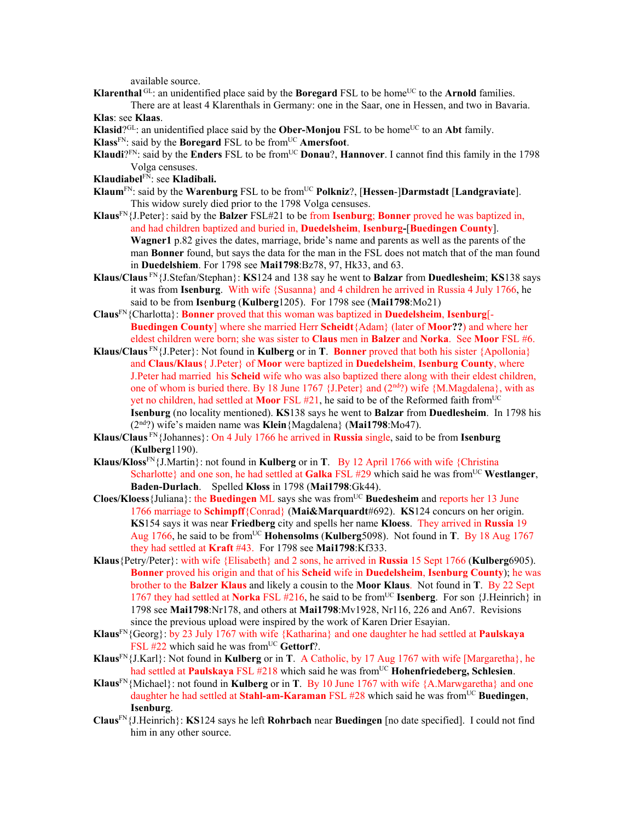available source.

**Klarenthal**  $GL$ : an unidentified place said by the **Boregard** FSL to be home<sup>UC</sup> to the **Arnold** families.

There are at least 4 Klarenthals in Germany: one in the Saar, one in Hessen, and two in Bavaria. **Klas**: see **Klaas**.

- **Klasid**? $G^{\text{CL}}$ : an unidentified place said by the **Ober-Monjou** FSL to be home<sup>UC</sup> to an **Abt** family.
- **Klass**FN: said by the **Boregard** FSL to be fromUC **Amersfoot**.
- **Klaudi**?<sup>FN</sup>: said by the **Enders** FSL to be from<sup>UC</sup> **Donau**?, **Hannover**. I cannot find this family in the 1798 Volga censuses.
- **Klaudiabel**FN: see **Kladibali.**
- **Klaum<sup>FN</sup>: said by the Warenburg FSL to be from<sup>UC</sup> Polkniz?, [Hessen-]Darmstadt [Landgraviate].** This widow surely died prior to the 1798 Volga censuses.
- **Klaus**FN{J.Peter}: said by the **Balzer** FSL#21 to be from **Isenburg**; **Bonner** proved he was baptized in, and had children baptized and buried in, **Duedelsheim**, **Isenburg-**[**Buedingen County**]. **Wagner1** p.82 gives the dates, marriage, bride's name and parents as well as the parents of the man **Bonner** found, but says the data for the man in the FSL does not match that of the man found in **Duedelshiem**. For 1798 see **Mai1798**:Bz78, 97, Hk33, and 63.
- **Klaus/Claus** FN{J.Stefan/Stephan}: **KS**124 and 138 say he went to **Balzar** from **Duedlesheim**; **KS**138 says it was from **Isenburg**. With wife {Susanna} and 4 children he arrived in Russia 4 July 1766, he said to be from **Isenburg** (**Kulberg**1205). For 1798 see (**Mai1798**:Mo21)
- **Claus**FN{Charlotta}: **Bonner** proved that this woman was baptized in **Duedelsheim**, **Isenburg**[- **Buedingen County**] where she married Herr **Scheidt**{Adam} (later of **Moor??**) and where her eldest children were born; she was sister to **Claus** men in **Balzer** and **Norka**. See **Moor** FSL #6.
- **Klaus/Claus**  $F_N$  {J.Peter}: Not found in **Kulberg** or in **T**. **Bonner** proved that both his sister {Apollonia} and **Claus/Klaus**{ J.Peter} of **Moor** were baptized in **Duedelsheim**, **Isenburg County**, where J.Peter had married his **Scheid** wife who was also baptized there along with their eldest children, one of whom is buried there. By 18 June 1767 {J.Peter} and  $(2<sup>nd</sup>)$  wife {M.Magdalena}, with as yet no children, had settled at **Moor** FSL #21, he said to be of the Reformed faith fromUC **Isenburg** (no locality mentioned). **KS**138 says he went to **Balzar** from **Duedlesheim**. In 1798 his (2nd?) wife's maiden name was **Klein**{Magdalena} (**Mai1798**:Mo47).
- **Klaus/Claus** FN{Johannes}: On 4 July 1766 he arrived in **Russia** single, said to be from **Isenburg** (**Kulberg**1190).
- **Klaus/Kloss**FN{J.Martin}: not found in **Kulberg** or in **T**. By 12 April 1766 with wife {Christina Scharlotte} and one son, he had settled at **Galka** FSL  $#29$  which said he was from<sup>UC</sup> Westlanger, **Baden-Durlach**. Spelled **Kloss** in 1798 (**Mai1798**:Gk44).
- **Cloes/Kloess**{Juliana}: the **Buedingen** ML says she was fromUC **Buedesheim** and reports her 13 June 1766 marriage to **Schimpff**{Conrad} (**Mai&Marquardt**#692). **KS**124 concurs on her origin. **KS**154 says it was near **Friedberg** city and spells her name **Kloess**. They arrived in **Russia** 19 Aug 1766, he said to be fromUC **Hohensolms** (**Kulberg**5098). Not found in **T**. By 18 Aug 1767 they had settled at **Kraft** #43. For 1798 see **Mai1798**:Kf333.
- **Klaus**{Petry/Peter}: with wife {Elisabeth} and 2 sons, he arrived in **Russia** 15 Sept 1766 (**Kulberg**6905). **Bonner** proved his origin and that of his **Scheid** wife in **Duedelsheim**, **Isenburg County**); he was brother to the **Balzer Klaus** and likely a cousin to the **Moor Klaus**. Not found in **T**. By 22 Sept 1767 they had settled at **Norka** FSL #216, he said to be fromUC **Isenberg**. For son {J.Heinrich} in 1798 see **Mai1798**:Nr178, and others at **Mai1798**:Mv1928, Nr116, 226 and An67. Revisions since the previous upload were inspired by the work of Karen Drier Esayian.
- **Klaus**FN{Georg}: by 23 July 1767 with wife {Katharina} and one daughter he had settled at **Paulskaya** FSL #22 which said he was from<sup>UC</sup> Gettorf?.
- **Klaus**<sup>FN</sup>{J.Karl}: Not found in **Kulberg** or in **T**. A Catholic, by 17 Aug 1767 with wife [Margaretha}, he had settled at **Paulskaya** FSL #218 which said he was from<sup>UC</sup> **Hohenfriedeberg, Schlesien**.
- **Klaus**FN{Michael}: not found in **Kulberg** or in **T**. By 10 June 1767 with wife {A.Marwgaretha} and one daughter he had settled at **Stahl-am-Karaman** FSL #28 which said he was from<sup>UC</sup> Buedingen, **Isenburg**.
- **Claus**FN{J.Heinrich}: **KS**124 says he left **Rohrbach** near **Buedingen** [no date specified]. I could not find him in any other source.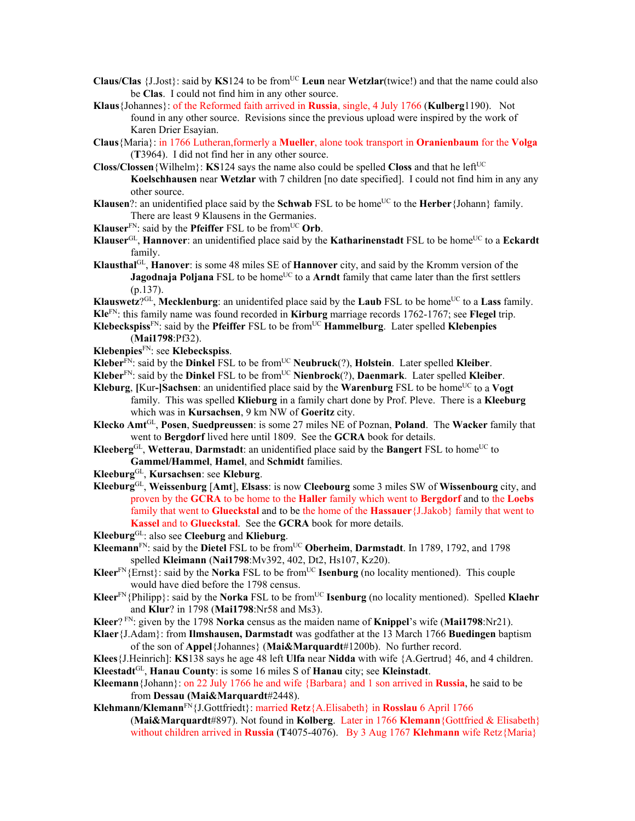- **Claus/Clas**  $\{J.Jost\}$ : said by **KS**124 to be from<sup>UC</sup> **Leun** near **Wetzlar**(twice!) and that the name could also be **Clas**. I could not find him in any other source.
- **Klaus**{Johannes}: of the Reformed faith arrived in **Russia**, single, 4 July 1766 (**Kulberg**1190). Not found in any other source. Revisions since the previous upload were inspired by the work of Karen Drier Esayian.

**Claus**{Maria}: in 1766 Lutheran,formerly a **Mueller**, alone took transport in **Oranienbaum** for the **Volga** (**T**3964). I did not find her in any other source.

- **Closs/Clossen**{Wilhelm}: **KS**124 says the name also could be spelled **Closs** and that he left<sup>UC</sup> **Koelschhausen** near **Wetzlar** with 7 children [no date specified]. I could not find him in any any other source.
- **Klausen**?: an unidentified place said by the **Schwab** FSL to be home<sup>UC</sup> to the **Herber**{Johann} family. There are least 9 Klausens in the Germanies.
- **Klauser**<sup>FN</sup>: said by the **Pfeiffer** FSL to be from<sup>UC</sup> Orb.
- **Klauser**<sup>GL</sup>, **Hannover**: an unidentified place said by the **Katharinenstadt** FSL to be home<sup>UC</sup> to a **Eckardt** family.
- **Klausthal**GL, **Hanover**: is some 48 miles SE of **Hannover** city, and said by the Kromm version of the **Jagodnaja Poljana** FSL to be home<sup>UC</sup> to a **Arndt** family that came later than the first settlers (p.137).

**Klauswetz**?<sup>GL</sup>, **Mecklenburg**: an unidentifed place said by the **Laub** FSL to be home<sup>UC</sup> to a **Lass** family. **Kle**FN: this family name was found recorded in **Kirburg** marriage records 1762-1767; see **Flegel** trip.

**Klebeckspiss**FN: said by the **Pfeiffer** FSL to be fromUC **Hammelburg**. Later spelled **Klebenpies**  (**Mai1798**:Pf32).

**Klebenpies**FN: see **Klebeckspiss**.

**Kleber**FN: said by the **Dinkel** FSL to be fromUC **Neubruck**(?), **Holstein**. Later spelled **Kleiber**.

- **Kleber**FN: said by the **Dinkel** FSL to be fromUC **Nienbrock**(?), **Daenmark**. Later spelled **Kleiber**.
- **Kleburg**, **[Kur-]Sachsen**: an unidentified place said by the **Warenburg** FSL to be home<sup>UC</sup> to a **Vogt** family. This was spelled **Klieburg** in a family chart done by Prof. Pleve. There is a **Kleeburg** which was in **Kursachsen**, 9 km NW of **Goeritz** city.
- **Klecko Amt**GL, **Posen**, **Suedpreussen**: is some 27 miles NE of Poznan, **Poland**. The **Wacker** family that went to **Bergdorf** lived here until 1809. See the **GCRA** book for details.
- Kleeberg<sup>GL</sup>, Wetterau, Darmstadt: an unidentified place said by the Bangert FSL to home<sup>UC</sup> to **Gammel/Hammel**, **Hamel**, and **Schmidt** families.
- **Kleeburg**GL, **Kursachsen**: see **Kleburg**.
- **Kleeburg**GL, **Weissenburg** [**Amt**], **Elsass**: is now **Cleebourg** some 3 miles SW of **Wissenbourg** city, and proven by the **GCRA** to be home to the **Haller** family which went to **Bergdorf** and to the **Loebs** family that went to **Glueckstal** and to be the home of the **Hassauer**{J.Jakob} family that went to **Kassel** and to **Glueckstal**. See the **GCRA** book for more details.

**Kleeburg**GL: also see **Cleeburg** and **Klieburg**.

- **Kleemann**<sup>FN</sup>: said by the **Dietel** FSL to be from<sup>UC</sup> **Oberheim**, **Darmstadt**. In 1789, 1792, and 1798 spelled **Kleimann** (**Nai1798**:Mv392, 402, Dt2, Hs107, Kz20).
- **Kleer**<sup>FN</sup>{Ernst}: said by the **Norka** FSL to be from<sup>UC</sup> **Isenburg** (no locality mentioned). This couple would have died before the 1798 census.
- **Kleer**<sup>FN</sup>{Philipp}: said by the **Norka** FSL to be from<sup>UC</sup> **Isenburg** (no locality mentioned). Spelled **Klaehr** and **Klur**? in 1798 (**Mai1798**:Nr58 and Ms3).
- **Kleer**? FN: given by the 1798 **Norka** census as the maiden name of **Knippel**'s wife (**Mai1798**:Nr21).
- **Klaer**{J.Adam}: from **Ilmshausen, Darmstadt** was godfather at the 13 March 1766 **Buedingen** baptism of the son of **Appel**{Johannes} (**Mai&Marquardt**#1200b). No further record.
- **Klees**{J.Heinrich]: **KS**138 says he age 48 left **Ulfa** near **Nidda** with wife {A.Gertrud} 46, and 4 children. **Kleestadt**GL, **Hanau County**: is some 16 miles S of **Hanau** city; see **Kleinstadt**.
- **Kleemann**{Johann}: on 22 July 1766 he and wife {Barbara} and 1 son arrived in **Russia**, he said to be from **Dessau (Mai&Marquardt**#2448).

**Klehmann/Klemann**FN{J.Gottfriedt}: married **Retz**{A.Elisabeth} in **Rosslau** 6 April 1766 (**Mai&Marquardt**#897). Not found in **Kolberg**. Later in 1766 **Klemann**{Gottfried & Elisabeth} without children arrived in **Russia** (**T**4075-4076). By 3 Aug 1767 **Klehmann** wife Retz{Maria}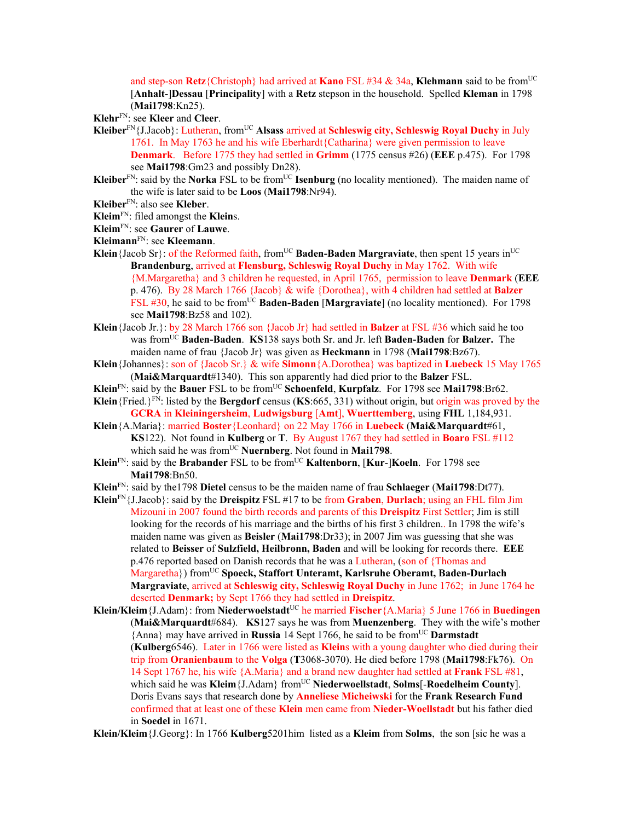and step-son **Retz**{Christoph} had arrived at **Kano** FSL #34 & 34a, **Klehmann** said to be fromUC [**Anhalt**-]**Dessau** [**Principality**] with a **Retz** stepson in the household. Spelled **Kleman** in 1798 (**Mai1798**:Kn25).

**Klehr**FN: see **Kleer** and **Cleer**.

- **Kleiber**FN{J.Jacob}: Lutheran, fromUC **Alsass** arrived at **Schleswig city, Schleswig Royal Duchy** in July 1761. In May 1763 he and his wife Eberhardt{Catharina} were given permission to leave **Denmark**. Before 1775 they had settled in **Grimm** (1775 census #26) (**EEE** p.475). For 1798 see **Mai1798**:Gm23 and possibly Dn28).
- **Kleiber**<sup>FN</sup>: said by the **Norka** FSL to be from<sup>UC</sup> **Isenburg** (no locality mentioned). The maiden name of the wife is later said to be **Loos** (**Mai1798**:Nr94).
- **Kleiber**FN: also see **Kleber**.
- **Kleim**FN: filed amongst the **Klein**s.
- **Kleim**FN: see **Gaurer** of **Lauwe**.
- **Kleimann**FN: see **Kleemann**.
- **Klein**{Jacob Sr}: of the Reformed faith, from<sup>UC</sup> **Baden-Baden Margraviate**, then spent 15 years in<sup>UC</sup> **Brandenburg**, arrived at **Flensburg, Schleswig Royal Duchy** in May 1762. With wife {M.Margaretha} and 3 children he requested, in April 1765, permission to leave **Denmark** (**EEE** p. 476). By 28 March 1766 {Jacob} & wife {Dorothea}, with 4 children had settled at **Balzer**  FSL #30, he said to be from<sup>UC</sup> Baden-Baden [Margraviate] (no locality mentioned). For 1798 see **Mai1798**:Bz58 and 102).
- **Klein**{Jacob Jr.}: by 28 March 1766 son {Jacob Jr} had settled in **Balzer** at FSL #36 which said he too was fromUC **Baden-Baden**. **KS**138 says both Sr. and Jr. left **Baden-Baden** for **Balzer.** The maiden name of frau {Jacob Jr} was given as **Heckmann** in 1798 (**Mai1798**:Bz67).
- **Klein**{Johannes}: son of {Jacob Sr.} & wife **Simonn**{A.Dorothea} was baptized in **Luebeck** 15 May 1765 (**Mai&Marquardt**#1340). This son apparently had died prior to the **Balzer** FSL.
- **Klein**<sup>FN</sup>: said by the **Bauer** FSL to be from<sup>UC</sup> **Schoenfeld**, **Kurpfalz**. For 1798 see **Mai1798**:Br62.
- **Klein**{Fried.}FN: listed by the **Bergdorf** census (**KS**:665, 331) without origin, but origin was proved by the **GCRA** in **Kleiningersheim**, **Ludwigsburg** [**Amt**], **Wuerttemberg**, using **FHL** 1,184,931.
- **Klein**{A.Maria}: married **Boster**{Leonhard} on 22 May 1766 in **Luebeck** (**Mai&Marquardt**#61, **KS**122). Not found in **Kulberg** or **T**. By August 1767 they had settled in **Boaro** FSL #112 which said he was from<sup>UC</sup> Nuernberg. Not found in Mai1798.
- **Klein**<sup>FN</sup>: said by the **Brabander** FSL to be from<sup>UC</sup> **Kaltenborn**, [**Kur-**] **Koeln**. For 1798 see **Mai1798**:Bn50.
- **Klein**FN: said by the1798 **Dietel** census to be the maiden name of frau **Schlaeger** (**Mai1798**:Dt77).
- **Klein**FN{J.Jacob}: said by the **Dreispitz** FSL #17 to be from **Graben**, **Durlach**; using an FHL film Jim Mizouni in 2007 found the birth records and parents of this **Dreispitz** First Settler; Jim is still looking for the records of his marriage and the births of his first 3 children.. In 1798 the wife's maiden name was given as **Beisler** (**Mai1798**:Dr33); in 2007 Jim was guessing that she was related to **Beisser** of **Sulzfield, Heilbronn, Baden** and will be looking for records there. **EEE** p.476 reported based on Danish records that he was a Lutheran, (son of {Thomas and Margaretha}) from<sup>UC</sup> Spoeck, Staffort Unteramt, Karlsruhe Oberamt, Baden-Durlach **Margraviate**, arrived at **Schleswig city, Schleswig Royal Duchy** in June 1762; in June 1764 he deserted **Denmark;** by Sept 1766 they had settled in **Dreispitz**.
- **Klein/Kleim**{J.Adam}: from **Niederwoelstadt**UC he married **Fischer**{A.Maria} 5 June 1766 in **Buedingen** (**Mai&Marquardt**#684). **KS**127 says he was from **Muenzenberg**.They with the wife's mother {Anna} may have arrived in **Russia** 14 Sept 1766, he said to be fromUC **Darmstadt** (**Kulberg**6546). Later in 1766 were listed as **Klein**s with a young daughter who died during their trip from **Oranienbaum** to the **Volga** (**T**3068-3070). He died before 1798 (**Mai1798**:Fk76). On 14 Sept 1767 he, his wife {A.Maria} and a brand new daughter had settled at **Frank** FSL #81, which said he was Kleim {J.Adam} from<sup>UC</sup> Niederwoellstadt, Solms[-Roedelheim County]. Doris Evans says that research done by **Anneliese Micheiwski** for the **Frank Research Fund** confirmed that at least one of these **Klein** men came from **Nieder-Woellstadt** but his father died in **Soedel** in 1671.

**Klein/Kleim**{J.Georg}: In 1766 **Kulberg**5201him listed as a **Kleim** from **Solms**, the son [sic he was a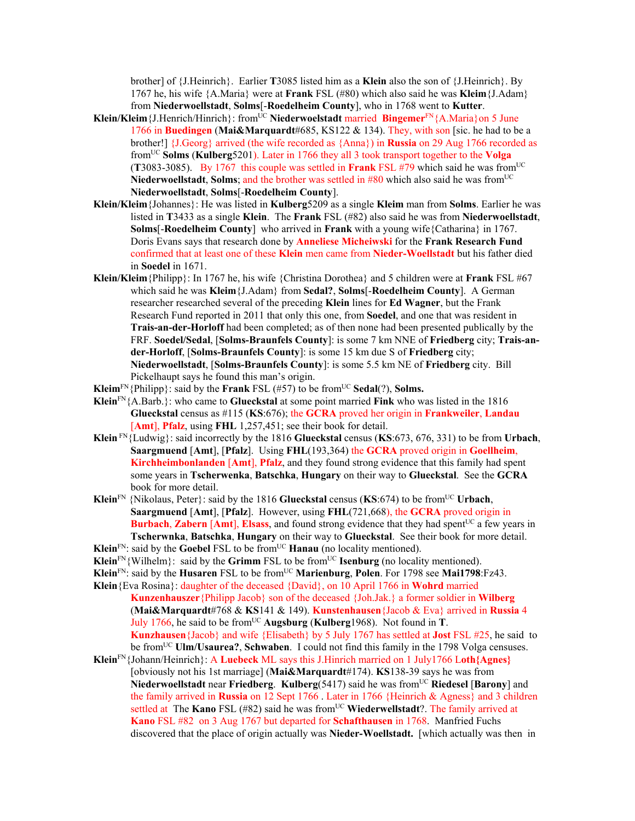brother] of {J.Heinrich}. Earlier **T**3085 listed him as a **Klein** also the son of {J.Heinrich}. By 1767 he, his wife {A.Maria} were at **Frank** FSL (#80) which also said he was **Kleim**{J.Adam} from **Niederwoellstadt**, **Solms**[-**Roedelheim County**], who in 1768 went to **Kutter**.

- **Klein/Kleim**{J.Henrich/Hinrich}: fromUC **Niederwoelstadt** married **Bingemer**FN{A.Maria}on 5 June 1766 in **Buedingen** (**Mai&Marquardt**#685, KS122 & 134). They, with son [sic. he had to be a brother!] {J.Georg} arrived (the wife recorded as {Anna}) in **Russia** on 29 Aug 1766 recorded as fromUC **Solms** (**Kulberg**5201). Later in 1766 they all 3 took transport together to the **Volga** (**T**3083-3085). By 1767 this couple was settled in **Frank** FSL  $\#79$  which said he was from<sup>UC</sup> **Niederwoellstadt**, **Solms**; and the brother was settled in  $#80$  which also said he was from<sup>UC</sup> **Niederwoellstadt**, **Solms**[-**Roedelheim County**].
- **Klein/Kleim**{Johannes}: He was listed in **Kulberg**5209 as a single **Kleim** man from **Solms**. Earlier he was listed in **T**3433 as a single **Klein**. The **Frank** FSL (#82) also said he was from **Niederwoellstadt**, **Solms**[-**Roedelheim County**] who arrived in **Frank** with a young wife{Catharina} in 1767. Doris Evans says that research done by **Anneliese Micheiwski** for the **Frank Research Fund** confirmed that at least one of these **Klein** men came from **Nieder-Woellstadt** but his father died in **Soedel** in 1671.
- **Klein/Kleim**{Philipp}: In 1767 he, his wife {Christina Dorothea} and 5 children were at **Frank** FSL #67 which said he was **Kleim**{J.Adam} from **Sedal?**, **Solms**[-**Roedelheim County**]. A German researcher researched several of the preceding **Klein** lines for **Ed Wagner**, but the Frank Research Fund reported in 2011 that only this one, from **Soedel**, and one that was resident in **Trais-an-der-Horloff** had been completed; as of then none had been presented publically by the FRF. **Soedel/Sedal**, [**Solms-Braunfels County**]: is some 7 km NNE of **Friedberg** city; **Trais-ander-Horloff**, [**Solms-Braunfels County**]: is some 15 km due S of **Friedberg** city; **Niederwoellstadt**, [**Solms-Braunfels County**]: is some 5.5 km NE of **Friedberg** city. Bill Pickelhaupt says he found this man's origin.
- **Kleim**<sup>FN</sup>{Philipp}: said by the **Frank** FSL (#57) to be from<sup>UC</sup> **Sedal**(?), **Solms.**
- **Klein**FN{A.Barb.}: who came to **Glueckstal** at some point married **Fink** who was listed in the 1816 **Glueckstal** census as #115 (**KS**:676); the **GCRA** proved her origin in **Frankweiler**, **Landau** [**Amt**], **Pfalz**, using **FHL** 1,257,451; see their book for detail.
- **Klein** FN{Ludwig}: said incorrectly by the 1816 **Glueckstal** census (**KS**:673, 676, 331) to be from **Urbach**, **Saargmuend** [**Amt**], [**Pfalz**]. Using **FHL**(193,364) the **GCRA** proved origin in **Goellheim**, **Kirchheimbonlanden** [**Amt**], **Pfalz**, and they found strong evidence that this family had spent some years in **Tscherwenka**, **Batschka**, **Hungary** on their way to **Glueckstal**. See the **GCRA** book for more detail.
- **Klein**<sup>FN</sup> {Nikolaus, Peter}: said by the 1816 **Glueckstal** census (**KS**:674) to be from<sup>UC</sup> Urbach, **Saargmuend** [**Amt**], [**Pfalz**]. However, using **FHL**(721,668), the **GCRA** proved origin in **Burbach, Zabern**  $[Amt]$ **, Elsass, and found strong evidence that they had spent<sup>UC</sup> a few years in Tscherwnka**, **Batschka**, **Hungary** on their way to **Glueckstal**. See their book for more detail.
- **Klein**<sup>FN</sup>: said by the **Goebel FSL** to be from<sup>UC</sup> **Hanau** (no locality mentioned).
- **Klein**<sup>FN</sup>{Wilhelm}: said by the **Grimm** FSL to be from<sup>UC</sup> **Isenburg** (no locality mentioned).
- **Klein**FN: said by the **Husaren** FSL to be fromUC **Marienburg**, **Polen**. For 1798 see **Mai1798**:Fz43.
- **Klein**{Eva Rosina}: daughter of the deceased {David}, on 10 April 1766 in **Wohrd** married **Kunzenhauszer**{Philipp Jacob} son of the deceased {Joh.Jak.} a former soldier in **Wilberg** (**Mai&Marquardt**#768 & **KS**141 & 149). **Kunstenhausen**{Jacob & Eva} arrived in **Russia** 4 July 1766, he said to be from<sup>UC</sup> Augsburg (Kulberg1968). Not found in **T**. **Kunzhausen**{Jacob} and wife {Elisabeth} by 5 July 1767 has settled at **Jost** FSL #25, he said to be fromUC **Ulm/Usaurea?**, **Schwaben**. I could not find this family in the 1798 Volga censuses.
- **Klein**FN{Johann/Heinrich}: A **Luebeck** ML says this J.Hinrich married on 1 July1766 L**oth{Agnes}** [obviously not his 1st marriage] (**Mai&Marquardt**#174). **KS**138-39 says he was from **Niederwoellstadt near Friedberg. Kulberg(5417) said he was from<sup>UC</sup> Riedesel [Barony] and** the family arrived in **Russia** on 12 Sept 1766 . Later in 1766 {Heinrich & Agness} and 3 children settled at The **Kano** FSL (#82) said he was from<sup>UC</sup> Wiederwellstadt?. The family arrived at **Kano** FSL #82 on 3 Aug 1767 but departed for **Schafthausen** in 1768. Manfried Fuchs discovered that the place of origin actually was **Nieder-Woellstadt.** [which actually was then in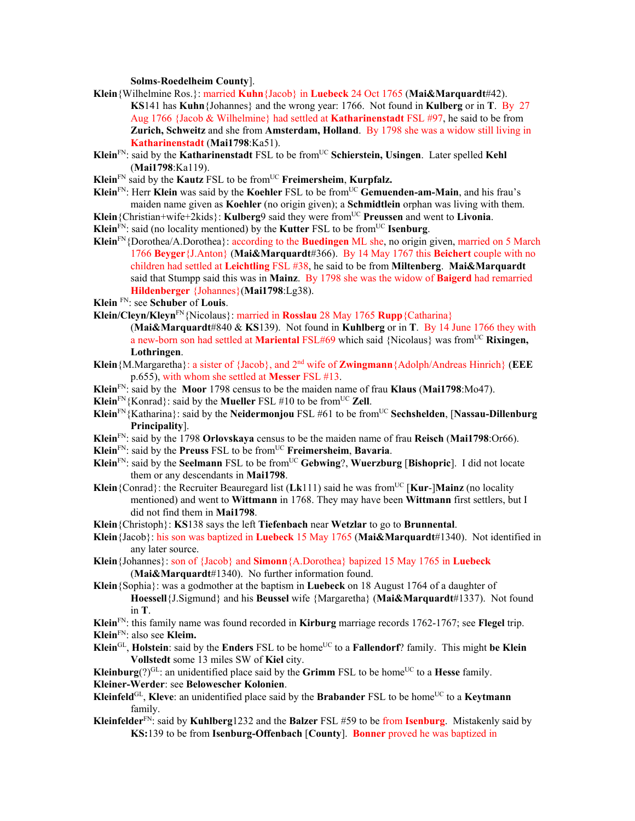**Solms**-**Roedelheim County**].

- **Klein**{Wilhelmine Ros.}: married **Kuhn**{Jacob} in **Luebeck** 24 Oct 1765 (**Mai&Marquardt**#42). **KS**141 has **Kuhn**{Johannes} and the wrong year: 1766. Not found in **Kulberg** or in **T**. By 27 Aug 1766 {Jacob & Wilhelmine} had settled at **Katharinenstadt** FSL #97, he said to be from **Zurich, Schweitz** and she from **Amsterdam, Holland**. By 1798 she was a widow still living in **Katharinenstadt** (**Mai1798**:Ka51).
- **Klein**<sup>FN</sup>: said by the **Katharinenstadt** FSL to be from<sup>UC</sup> Schierstein, Usingen. Later spelled **Kehl** (**Mai1798**:Ka119).
- **Klein**<sup>FN</sup> said by the **Kautz** FSL to be from<sup>UC</sup> **Freimersheim**, **Kurpfalz.**
- **Klein**<sup>FN</sup>: Herr **Klein** was said by the **Koehler** FSL to be from<sup>UC</sup> Gemuenden-am-Main, and his frau's maiden name given as **Koehler** (no origin given); a **Schmidtlein** orphan was living with them.
- **Klein** {Christian+wife+2kids}: **Kulberg**9 said they were from<sup>UC</sup> Preussen and went to Livonia.
- **Klein**<sup>FN</sup>: said (no locality mentioned) by the **Kutter** FSL to be from<sup>UC</sup> **Isenburg**.
- **Klein**FN{Dorothea/A.Dorothea}: according to the **Buedingen** ML she, no origin given, married on 5 March 1766 **Beyger**{J.Anton} (**Mai&Marquardt**#366). By 14 May 1767 this **Beichert** couple with no children had settled at **Leichtling** FSL #38, he said to be from **Miltenberg**. **Mai&Marquardt**  said that Stumpp said this was in **Mainz**. By 1798 she was the widow of **Baigerd** had remarried **Hildenberger** {Johannes}(**Mai1798**:Lg38).
- **Klein** FN: see **Schuber** of **Louis**.
- **Klein/Cleyn/Kleyn**FN{Nicolaus}: married in **Rosslau** 28 May 1765 **Rupp**{Catharina}

(**Mai&Marquardt**#840 & **KS**139). Not found in **Kuhlberg** or in **T**. By 14 June 1766 they with a new-born son had settled at **Mariental** FSL#69 which said {Nicolaus} was from<sup>UC</sup> Rixingen, **Lothringen**.

- **Klein**{M.Margaretha}: a sister of {Jacob}, and 2nd wife of **Zwingmann**{Adolph/Andreas Hinrich} (**EEE** p.655), with whom she settled at **Messer** FSL #13.
- **Klein**FN: said by the **Moor** 1798 census to be the maiden name of frau **Klaus** (**Mai1798**:Mo47).
- **Klein**<sup>FN</sup>{Konrad}: said by the **Mueller** FSL #10 to be from<sup>UC</sup> **Zell**.
- **Klein**FN{Katharina}: said by the **Neidermonjou** FSL #61 to be fromUC **Sechshelden**, [**Nassau-Dillenburg Principality**].
- **Klein**FN: said by the 1798 **Orlovskaya** census to be the maiden name of frau **Reisch** (**Mai1798**:Or66).
- **Klein**FN: said by the **Preuss** FSL to be fromUC **Freimersheim**, **Bavaria**.
- **Klein**FN: said by the **Seelmann** FSL to be fromUC **Gebwing**?, **Wuerzburg** [**Bishopric**]. I did not locate them or any descendants in **Mai1798**.
- **Klein**{Conrad}: the Recruiter Beauregard list (Lk111) said he was from<sup>UC</sup> [Kur-]Mainz (no locality mentioned) and went to **Wittmann** in 1768. They may have been **Wittmann** first settlers, but I did not find them in **Mai1798**.
- **Klein**{Christoph}: **KS**138 says the left **Tiefenbach** near **Wetzlar** to go to **Brunnental**.
- **Klein**{Jacob}: his son was baptized in **Luebeck** 15 May 1765 (**Mai&Marquardt**#1340). Not identified in any later source.
- **Klein**{Johannes}: son of {Jacob} and **Simonn**{A.Dorothea} bapized 15 May 1765 in **Luebeck** (**Mai&Marquardt**#1340). No further information found.
- **Klein**{Sophia}: was a godmother at the baptism in **Luebeck** on 18 August 1764 of a daughter of **Hoessell**{J.Sigmund} and his **Beussel** wife {Margaretha} (**Mai&Marquardt**#1337). Not found in **T**.
- **Klein**FN: this family name was found recorded in **Kirburg** marriage records 1762-1767; see **Flegel** trip.
- **Klein**FN: also see **Kleim.**
- **Klein**GL, **Holstein**: said by the **Enders** FSL to be home<sup>UC</sup> to a **Fallendorf**? family. This might be **Klein Vollstedt** some 13 miles SW of **Kiel** city.

**Kleinburg** $(?)^{GL}$ : an unidentified place said by the **Grimm** FSL to be home<sup>UC</sup> to a **Hesse** family.

- **Kleiner-Werder**: see **Belowescher Kolonien**.
- **Kleinfeld**<sup>GL</sup>, **Kleve**: an unidentified place said by the **Brabander** FSL to be home<sup>UC</sup> to a **Keytmann** family.
- **Kleinfelder**FN: said by **Kuhlberg**1232 and the **Balzer** FSL #59 to be from **Isenburg**. Mistakenly said by **KS:**139 to be from **Isenburg-Offenbach** [**County**]. **Bonner** proved he was baptized in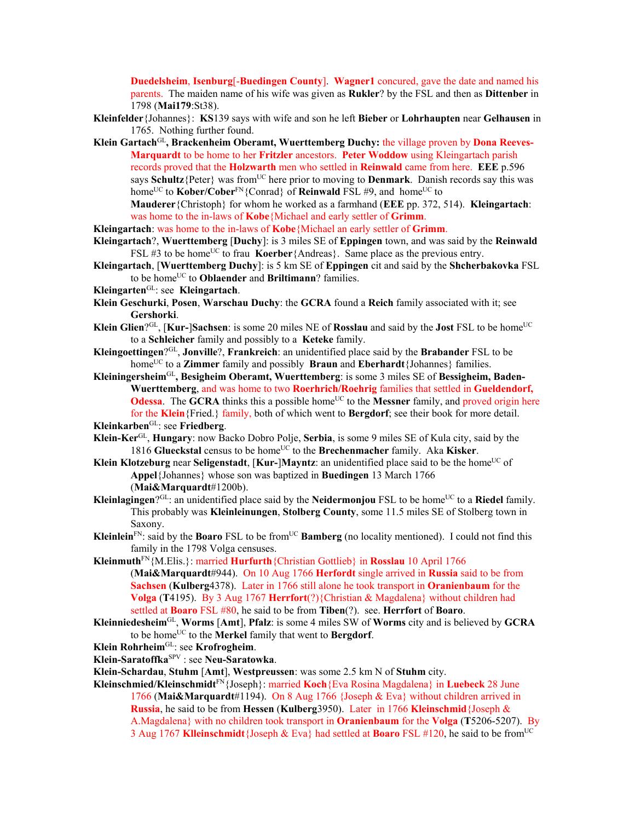**Duedelsheim**, **Isenburg**[-**Buedingen County**]. **Wagner1** concured, gave the date and named his parents. The maiden name of his wife was given as **Rukler**? by the FSL and then as **Dittenber** in 1798 (**Mai179**:St38).

**Kleinfelder**{Johannes}: **KS**139 says with wife and son he left **Bieber** or **Lohrhaupten** near **Gelhausen** in 1765. Nothing further found.

Klein Gartach<sup>GL</sup>, Brackenheim Oberamt, Wuerttemberg Duchy: the village proven by Dona Reeves-**Marquardt** to be home to her **Fritzler** ancestors. **Peter Woddow** using Kleingartach parish records proved that the **Holzwarth** men who settled in **Reinwald** came from here. **EEE** p.596 says **Schultz** ${Peter}$  was from<sup>UC</sup> here prior to moving to **Denmark**. Danish records say this was home<sup>UC</sup> to **Kober/Cober**<sup>FN</sup>{Conrad} of **Reinwald** FSL #9, and home<sup>UC</sup> to **Mauderer**{Christoph} for whom he worked as a farmhand (**EEE** pp. 372, 514). **Kleingartach**:

was home to the in-laws of **Kobe**{Michael and early settler of **Grimm**.

**Kleingartach**: was home to the in-laws of **Kobe**{Michael an early settler of **Grimm**.

- **Kleingartach**?, **Wuerttemberg** [**Duchy**]: is 3 miles SE of **Eppingen** town, and was said by the **Reinwald** FSL #3 to be home<sup>UC</sup> to frau **Koerber**{Andreas}. Same place as the previous entry.
- **Kleingartach**, [**Wuerttemberg Duchy**]: is 5 km SE of **Eppingen** cit and said by the **Shcherbakovka** FSL to be homeUC to **Oblaender** and **Briltimann**? families.
- **Kleingarten**GL: see **Kleingartach**.
- **Klein Geschurki**, **Posen**, **Warschau Duchy**: the **GCRA** found a **Reich** family associated with it; see **Gershorki**.
- **Klein Glien**?<sup>GL</sup>, [**Kur-**]Sachsen: is some 20 miles NE of **Rosslau** and said by the **Jost** FSL to be home<sup>UC</sup> to a **Schleicher** family and possibly to a **Keteke** family.
- **Kleingoettingen**?GL, **Jonville**?, **Frankreich**: an unidentified place said by the **Brabander** FSL to be homeUC to a **Zimmer** family and possibly **Braun** and **Eberhardt**{Johannes} families.
- **Kleiningersheim**GL**, Besigheim Oberamt, Wuerttemberg**: is some 3 miles SE of **Bessigheim, Baden-Wuerttemberg**, and was home to two **Roerhrich/Roehrig** families that settled in **Gueldendorf, Odessa**. The **GCRA** thinks this a possible home<sup>UC</sup> to the **Messner** family, and proved origin here for the **Klein**{Fried.} family, both of which went to **Bergdorf**; see their book for more detail.

**Kleinkarben**GL: see **Friedberg**.

- **Klein-Ker**GL, **Hungary**: now Backo Dobro Polje, **Serbia**, is some 9 miles SE of Kula city, said by the 1816 Glueckstal census to be home<sup>UC</sup> to the Brechenmacher family. Aka Kisker.
- **Klein Klotzeburg** near **Seligenstadt**, [**Kur-**]Mayntz: an unidentified place said to be the home<sup>UC</sup> of **Appel**{Johannes} whose son was baptized in **Buedingen** 13 March 1766 (**Mai&Marquardt**#1200b).
- **Kleinlagingen**?<sup>GL</sup>: an unidentified place said by the **Neidermonjou** FSL to be home<sup>UC</sup> to a **Riedel** family. This probably was **Kleinleinungen**, **Stolberg County**, some 11.5 miles SE of Stolberg town in Saxony.
- **Kleinlein**<sup>FN</sup>: said by the **Boaro** FSL to be from<sup>UC</sup> **Bamberg** (no locality mentioned). I could not find this family in the 1798 Volga censuses.
- **Kleinmuth**FN{M.Elis.}: married **Hurfurth**{Christian Gottlieb} in **Rosslau** 10 April 1766 (**Mai&Marquardt**#944). On 10 Aug 1766 **Herfordt** single arrived in **Russia** said to be from **Sachsen** (**Kulberg**4378). Later in 1766 still alone he took transport in **Oranienbaum** for the **Volga** (**T**4195). By 3 Aug 1767 **Herrfort**(?){Christian & Magdalena} without children had settled at **Boaro** FSL #80, he said to be from **Tiben**(?). see. **Herrfort** of **Boaro**.
- **Kleinniedesheim**GL, **Worms** [**Amt**], **Pfalz**: is some 4 miles SW of **Worms** city and is believed by **GCRA** to be homeUC to the **Merkel** family that went to **Bergdorf**.
- **Klein Rohrheim**GL: see **Krofrogheim**.
- **Klein-Saratoffka**SPV : see **Neu-Saratowka**.
- **Klein-Schardau**, **Stuhm** [**Amt**], **Westpreussen**: was some 2.5 km N of **Stuhm** city.
- **Kleinschmied/Kleinschmidt**FN{Joseph}: married **Koch**{Eva Rosina Magdalena} in **Luebeck** 28 June 1766 (**Mai&Marquardt**#1194). On 8 Aug 1766 {Joseph & Eva} without children arrived in **Russia**, he said to be from **Hessen** (**Kulberg**3950). Later in 1766 **Kleinschmid**{Joseph & A.Magdalena} with no children took transport in **Oranienbaum** for the **Volga** (**T**5206-5207). By 3 Aug 1767 **Klleinschmidt**{Joseph & Eva} had settled at **Boaro** FSL #120, he said to be fromUC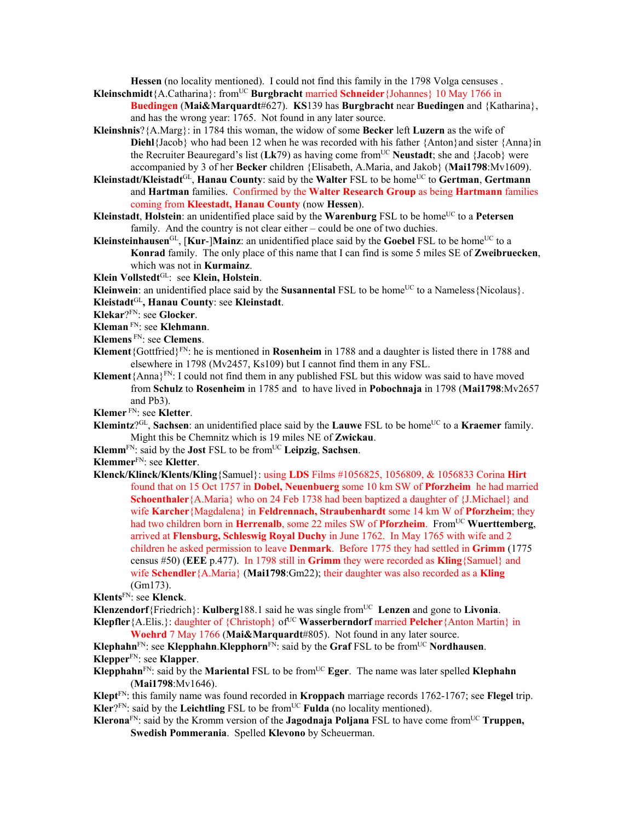**Hessen** (no locality mentioned). I could not find this family in the 1798 Volga censuses .

- Kleinschmidt{A.Catharina}: from<sup>UC</sup> Burgbracht married Schneider{Johannes} 10 May 1766 in **Buedingen** (**Mai&Marquardt**#627). **KS**139 has **Burgbracht** near **Buedingen** and {Katharina}, and has the wrong year: 1765. Not found in any later source.
- **Kleinshnis**?{A.Marg}: in 1784 this woman, the widow of some **Becker** left **Luzern** as the wife of **Diehl**{Jacob} who had been 12 when he was recorded with his father {Anton}and sister {Anna}in the Recruiter Beauregard's list (Lk79) as having come from<sup>UC</sup> Neustadt; she and {Jacob} were accompanied by 3 of her **Becker** children {Elisabeth, A.Maria, and Jakob} (**Mai1798**:Mv1609).
- **Kleinstadt/Kleistadt**GL, **Hanau County**: said by the **Walter** FSL to be homeUC to **Gertman**, **Gertmann** and **Hartman** families. Confirmed by the **Walter Research Group** as being **Hartmann** families coming from **Kleestadt, Hanau County** (now **Hessen**).
- **Kleinstadt, Holstein**: an unidentified place said by the **Warenburg** FSL to be home<sup>UC</sup> to a Petersen family. And the country is not clear either – could be one of two duchies.
- **Kleinsteinhausen**<sup>GL</sup>, [**Kur-**]**Mainz**: an unidentified place said by the **Goebel** FSL to be home<sup>UC</sup> to a **Konrad** family. The only place of this name that I can find is some 5 miles SE of **Zweibruecken**, which was not in **Kurmainz**.

**Klein Vollstedt**GL: see **Klein, Holstein**.

**Kleinwein**: an unidentified place said by the **Susannental** FSL to be home<sup>UC</sup> to a Nameless{Nicolaus}.

- **Kleistadt**GL**, Hanau County**: see **Kleinstadt**.
- **Klekar**?FN: see **Glocker**.

**Kleman** FN: see **Klehmann**.

- **Klemens** FN: see **Clemens**.
- **Klement**{Gottfried}FN: he is mentioned in **Rosenheim** in 1788 and a daughter is listed there in 1788 and elsewhere in 1798 (Mv2457, Ks109) but I cannot find them in any FSL.
- **Klement**{Anna}FN: I could not find them in any published FSL but this widow was said to have moved from **Schulz** to **Rosenheim** in 1785 and to have lived in **Pobochnaja** in 1798 (**Mai1798**:Mv2657 and Pb3).

**Klemer** FN: see **Kletter**.

- **Klemintz**?<sup>GL</sup>, **Sachsen**: an unidentified place said by the **Lauwe** FSL to be home<sup>UC</sup> to a **Kraemer** family. Might this be Chemnitz which is 19 miles NE of **Zwickau**.
- **Klemm**FN: said by the **Jost** FSL to be fromUC **Leipzig**, **Sachsen**.

**Klemmer**FN: see **Kletter**.

**Klenck/Klinck/Klents/Kling**{Samuel}: using **LDS** Films #1056825, 1056809, & 1056833 Corina **Hirt**  found that on 15 Oct 1757 in **Dobel, Neuenbuerg** some 10 km SW of **Pforzheim** he had married **Schoenthaler**{A.Maria} who on 24 Feb 1738 had been baptized a daughter of {J.Michael} and wife **Karcher**{Magdalena} in **Feldrennach, Straubenhardt** some 14 km W of **Pforzheim**; they had two children born in **Herrenalb**, some 22 miles SW of **Pforzheim**. From<sup>UC</sup> Wuerttemberg, arrived at **Flensburg, Schleswig Royal Duchy** in June 1762. In May 1765 with wife and 2 children he asked permission to leave **Denmark**. Before 1775 they had settled in **Grimm** (1775 census #50) (**EEE** p.477). In 1798 still in **Grimm** they were recorded as **Kling**{Samuel} and wife **Schendler**{A.Maria} (**Mai1798**:Gm22); their daughter was also recorded as a **Kling**  (Gm173).

**Klents**FN: see **Klenck**.

**Klenzendorf**{Friedrich}: **Kulberg**188.1 said he was single from<sup>UC</sup> Lenzen and gone to Livonia.

**Klepfler** {A.Elis.}: daughter of {Christoph} of<sup>UC</sup> **Wasserberndorf** married **Pelcher** {Anton Martin} in **Woehrd** 7 May 1766 (**Mai&Marquardt**#805). Not found in any later source.

**Klephahn**<sup>FN</sup>: see **Klepphahn**.**Klepphorn**<sup>FN</sup>: said by the **Graf** FSL to be from<sup>UC</sup> **Nordhausen**. **Klepper**FN: see **Klapper**.

**Klepphahn**<sup>FN</sup>: said by the **Mariental** FSL to be from<sup>UC</sup> **Eger**. The name was later spelled **Klephahn** (**Mai1798**:Mv1646).

**Klept**FN: this family name was found recorded in **Kroppach** marriage records 1762-1767; see **Flegel** trip.  $Kler<sup>2FN</sup>$ : said by the **Leichtling** FSL to be from<sup>UC</sup> **Fulda** (no locality mentioned).

**Klerona**FN: said by the Kromm version of the **Jagodnaja Poljana** FSL to have come fromUC **Truppen, Swedish Pommerania**. Spelled **Klevono** by Scheuerman.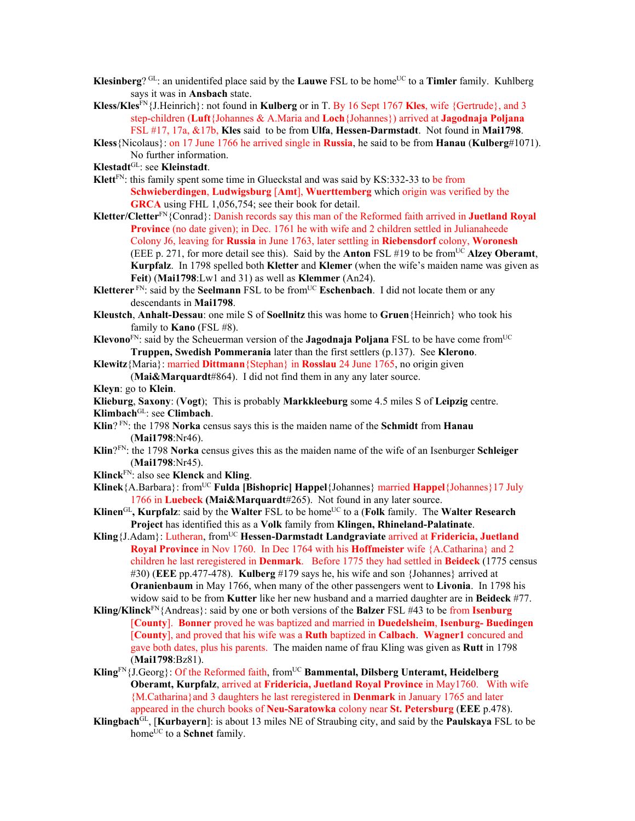- **Klesinberg**? GL: an unidentifed place said by the **Lauwe** FSL to be home<sup>UC</sup> to a **Timler** family. Kuhlberg says it was in **Ansbach** state.
- **Kless/Kles**FN{J.Heinrich}: not found in **Kulberg** or in T. By 16 Sept 1767 **Kles**, wife {Gertrude}, and 3 step-children (**Luft**{Johannes & A.Maria and **Loch**{Johannes}) arrived at **Jagodnaja Poljana**  FSL #17, 17a, &17b, **Kles** said to be from **Ulfa**, **Hessen-Darmstadt**. Not found in **Mai1798**.
- **Kless**{Nicolaus}: on 17 June 1766 he arrived single in **Russia**, he said to be from **Hanau** (**Kulberg**#1071). No further information.
- **Klestadt**GL: see **Kleinstadt**.
- **Klett**FN: this family spent some time in Glueckstal and was said by KS:332-33 to be from **Schwieberdingen**, **Ludwigsburg** [**Amt**], **Wuerttemberg** which origin was verified by the **GRCA** using FHL 1,056,754; see their book for detail.
- **Kletter/Cletter**FN{Conrad}: Danish records say this man of the Reformed faith arrived in **Juetland Royal Province** (no date given); in Dec. 1761 he with wife and 2 children settled in Julianaheede Colony J6, leaving for **Russia** in June 1763, later settling in **Riebensdorf** colony, **Woronesh** (EEE p. 271, for more detail see this). Said by the **Anton** FSL  $\#19$  to be from<sup>UC</sup> **Alzey Oberamt**, **Kurpfalz**. In 1798 spelled both **Kletter** and **Klemer** (when the wife's maiden name was given as **Feit**) (**Mai1798**:Lw1 and 31) as well as **Klemmer** (An24).
- **Kletterer** FN: said by the **Seelmann** FSL to be from<sup>UC</sup> **Eschenbach**. I did not locate them or any descendants in **Mai1798**.
- **Kleustch**, **Anhalt-Dessau**: one mile S of **Soellnitz** this was home to **Gruen**{Heinrich} who took his family to **Kano** (FSL #8).
- **Klevono**FN: said by the Scheuerman version of the **Jagodnaja Poljana** FSL to be have come fromUC **Truppen, Swedish Pommerania** later than the first settlers (p.137). See **Klerono**.
- **Klewitz**{Maria}: married **Dittmann**{Stephan} in **Rosslau** 24 June 1765, no origin given (**Mai&Marquardt**#864). I did not find them in any any later source.

**Kleyn**: go to **Klein**.

- **Klieburg**, **Saxony**: (**Vogt**); This is probably **Markkleeburg** some 4.5 miles S of **Leipzig** centre.
- **Klimbach**GL: see **Climbach**.
- **Klin**? FN: the 1798 **Norka** census says this is the maiden name of the **Schmidt** from **Hanau** (**Mai1798**:Nr46).
- **Klin**?FN: the 1798 **Norka** census gives this as the maiden name of the wife of an Isenburger **Schleiger** (**Mai1798**:Nr45).
- **Klinck**FN: also see **Klenck** and **Kling**.
- **Klinek**{A.Barbara}: fromUC **Fulda [Bishopric] Happel**{Johannes} married **Happel**{Johannes}17 July 1766 in **Luebeck (Mai&Marquardt**#265). Not found in any later source.
- **Klinen**<sup>GL</sup>, **Kurpfalz**: said by the **Walter** FSL to be home<sup>UC</sup> to a (**Folk** family. The **Walter Research Project** has identified this as a **Volk** family from **Klingen, Rhineland-Palatinate**.
- Kling {J.Adam}: Lutheran, from<sup>UC</sup> Hessen-Darmstadt Landgraviate arrived at Fridericia, Juetland **Royal Province** in Nov 1760. In Dec 1764 with his **Hoffmeister** wife {A.Catharina} and 2 children he last reregistered in **Denmark**. Before 1775 they had settled in **Beideck** (1775 census #30) (**EEE** pp.477-478). **Kulberg** #179 says he, his wife and son {Johannes} arrived at **Oranienbaum** in May 1766, when many of the other passengers went to **Livonia**. In 1798 his widow said to be from **Kutter** like her new husband and a married daughter are in **Beideck** #77.
- **Kling/Klinck**FN{Andreas}: said by one or both versions of the **Balzer** FSL #43 to be from **Isenburg**  [**County**]. **Bonner** proved he was baptized and married in **Duedelsheim**, **Isenburg- Buedingen** [**County**], and proved that his wife was a **Ruth** baptized in **Calbach**. **Wagner1** concured and gave both dates, plus his parents. The maiden name of frau Kling was given as **Rutt** in 1798 (**Mai1798**:Bz81).
- Kling<sup>FN</sup>{J.Georg}: Of the Reformed faith, from<sup>UC</sup> Bammental, Dilsberg Unteramt, Heidelberg **Oberamt, Kurpfalz**, arrived at **Fridericia, Juetland Royal Province** in May1760. With wife {M.Catharina}and 3 daughters he last reregistered in **Denmark** in January 1765 and later appeared in the church books of **Neu-Saratowka** colony near **St. Petersburg** (**EEE** p.478).
- **Klingbach**GL, [**Kurbayern**]: is about 13 miles NE of Straubing city, and said by the **Paulskaya** FSL to be home<sup>UC</sup> to a **Schnet** family.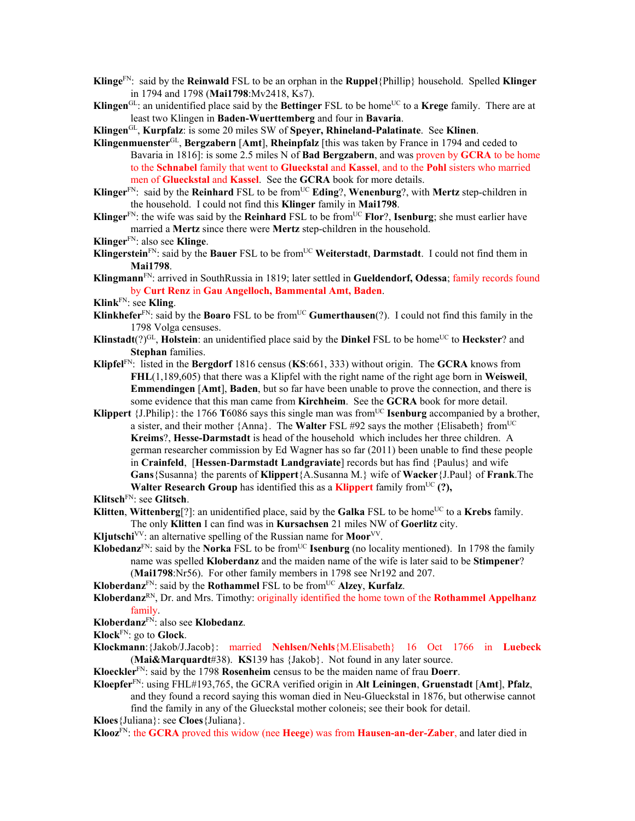- **Klinge**FN: said by the **Reinwald** FSL to be an orphan in the **Ruppel**{Phillip} household. Spelled **Klinger** in 1794 and 1798 (**Mai1798**:Mv2418, Ks7).
- **Klingen**<sup>GL</sup>: an unidentified place said by the **Bettinger** FSL to be home<sup>UC</sup> to a **Krege** family. There are at least two Klingen in **Baden-Wuerttemberg** and four in **Bavaria**.

**Klingen**GL, **Kurpfalz**: is some 20 miles SW of **Speyer, Rhineland-Palatinate**. See **Klinen**.

- **Klingenmuenster**GL, **Bergzabern** [**Amt**], **Rheinpfalz** [this was taken by France in 1794 and ceded to Bavaria in 1816]: is some 2.5 miles N of **Bad Bergzabern**, and was proven by **GCRA** to be home to the **Schnabel** family that went to **Glueckstal** and **Kassel**, and to the **Pohl** sisters who married men of **Glueckstal** and **Kassel**. See the **GCRA** book for more details.
- **Klinger**<sup>FN</sup>: said by the **Reinhard** FSL to be from<sup>UC</sup> **Eding**?, **Wenenburg**?, with **Mertz** step-children in the household. I could not find this **Klinger** family in **Mai1798**.
- **Klinger**<sup>FN</sup>: the wife was said by the **Reinhard** FSL to be from<sup>UC</sup> **Flor**?, **Isenburg**; she must earlier have married a **Mertz** since there were **Mertz** step-children in the household.
- **Klinger**FN: also see **Klinge**.
- **Klingerstein**<sup>FN</sup>: said by the **Bauer** FSL to be from<sup>UC</sup> Weiterstadt, Darmstadt. I could not find them in **Mai1798**.
- **Klingmann**FN: arrived in SouthRussia in 1819; later settled in **Gueldendorf, Odessa**; family records found by **Curt Renz** in **Gau Angelloch, Bammental Amt, Baden**.

**Klink**FN: see **Kling**.

- **Klinkhefer**<sup>FN</sup>: said by the **Boaro** FSL to be from<sup>UC</sup> **Gumerthausen**(?). I could not find this family in the 1798 Volga censuses.
- **Klinstadt**(?)<sup>GL</sup>, **Holstein**: an unidentified place said by the **Dinkel** FSL to be home<sup>UC</sup> to **Heckster**? and **Stephan** families.
- **Klipfel**FN: listed in the **Bergdorf** 1816 census (**KS**:661, 333) without origin. The **GCRA** knows from **FHL**(1,189,605) that there was a Klipfel with the right name of the right age born in **Weisweil**, **Emmendingen** [**Amt**], **Baden**, but so far have been unable to prove the connection, and there is some evidence that this man came from **Kirchheim**. See the **GCRA** book for more detail.
- **Klippert** {J.Philip}: the 1766 **T**6086 says this single man was from<sup>UC</sup> **Isenburg** accompanied by a brother, a sister, and their mother  $\{Anna\}$ . The **Walter** FSL #92 says the mother  $\{ Elisabeth\}$  from<sup>UC</sup> **Kreims**?, **Hesse-Darmstadt** is head of the household which includes her three children. A german researcher commission by Ed Wagner has so far (2011) been unable to find these people in **Crainfeld**, [**Hessen**-**Darmstadt Landgraviate**] records but has find {Paulus} and wife **Gans**{Susanna} the parents of **Klippert**{A.Susanna M.} wife of **Wacker**{J.Paul} of **Frank**.The **Walter Research Group** has identified this as a **Klippert** family from<sup>UC</sup> $(?)$ .

**Klitsch**FN: see **Glitsch**.

**Klitten**, **Wittenberg**<sup>[?]</sup>: an unidentified place, said by the **Galka** FSL to be home<sup>UC</sup> to a **Krebs** family. The only **Klitten** I can find was in **Kursachsen** 21 miles NW of **Goerlitz** city.

**Kljutschi**<sup>VV</sup>: an alternative spelling of the Russian name for **Moor**<sup>VV</sup>.

- **Klobedanz**<sup>FN</sup>: said by the **Norka** FSL to be from<sup>UC</sup> **Isenburg** (no locality mentioned). In 1798 the family name was spelled **Kloberdanz** and the maiden name of the wife is later said to be **Stimpener**? (**Mai1798**:Nr56). For other family members in 1798 see Nr192 and 207.
	-
- **Kloberdanz**<sup>FN</sup>: said by the **Rothammel** FSL to be from<sup>UC</sup> Alzey, **Kurfalz**.
- **Kloberdanz**RN, Dr. and Mrs. Timothy: originally identified the home town of the **Rothammel Appelhanz**  family.
- **Kloberdanz**FN: also see **Klobedanz**.

**Klock**FN: go to **Glock**.

- **Klockmann**:{Jakob/J.Jacob}: married **Nehlsen/Nehls**{M.Elisabeth} 16 Oct 1766 in **Luebeck**  (**Mai&Marquardt**#38). **KS**139 has {Jakob}. Not found in any later source.
- **Kloeckler**FN: said by the 1798 **Rosenheim** census to be the maiden name of frau **Doerr**.
- **Kloepfer**FN: using FHL#193,765, the GCRA verified origin in **Alt Leiningen**, **Gruenstadt** [**Amt**], **Pfalz**, and they found a record saying this woman died in Neu-Glueckstal in 1876, but otherwise cannot find the family in any of the Glueckstal mother coloneis; see their book for detail.
- **Kloes**{Juliana}: see **Cloes**{Juliana}.

**Klooz**FN: the **GCRA** proved this widow (nee **Heege**) was from **Hausen-an-der-Zaber**, and later died in